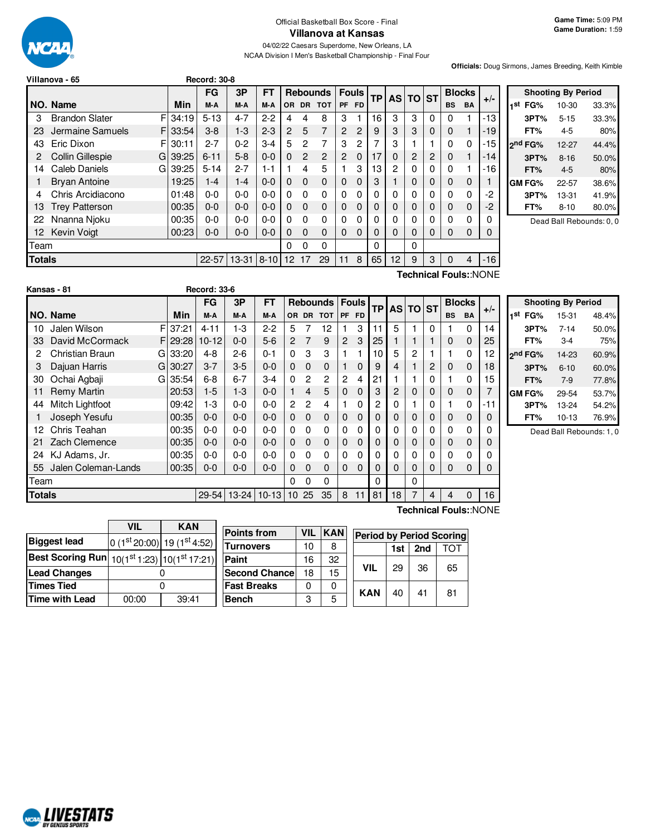

Official Basketball Box Score - Final **Villanova at Kansas**

04/02/22 Caesars Superdome, New Orleans, LA NCAA Division I Men's Basketball Championship - Final Four

**Officials:** Doug Sirmons, James Breeding, Keith Kimble

|               | Villanova - 65        |    |       | <b>Record: 30-8</b> |           |           |                 |                |                 |           |              |           |           |              |   |               |             |       |
|---------------|-----------------------|----|-------|---------------------|-----------|-----------|-----------------|----------------|-----------------|-----------|--------------|-----------|-----------|--------------|---|---------------|-------------|-------|
|               |                       |    |       | FG                  | 3P        | <b>FT</b> |                 |                | <b>Rebounds</b> |           | <b>Fouls</b> | <b>TP</b> | <b>AS</b> | <b>TO ST</b> |   | <b>Blocks</b> |             |       |
|               | NO. Name              |    | Min   | M-A                 | M-A       | M-A       | OR.             | <b>DR</b>      | <b>TOT</b>      | <b>PF</b> | <b>FD</b>    |           |           |              |   | <b>BS</b>     | <b>BA</b>   | $+/-$ |
| 3             | <b>Brandon Slater</b> | F. | 34:19 | $5 - 13$            | $4 - 7$   | $2 - 2$   | 4               | 4              | 8               | 3         |              | 16        | 3         | 3            | 0 | 0             |             | -13   |
| 23            | Jermaine Samuels      | F. | 33:54 | $3-8$               | $1 - 3$   | $2 - 3$   | 2               | 5              | 7               | 2         | 2            | 9         | 3         | 3            | 0 | 0             |             | $-19$ |
| 43            | Eric Dixon            | F. | 30:11 | $2 - 7$             | $0 - 2$   | $3 - 4$   | 5               | 2              | 7               | 3         | 2            | 7         | 3         |              |   | 0             | $\Omega$    | $-15$ |
| 2             | Collin Gillespie      | G  | 39:25 | $6 - 11$            | $5 - 8$   | $0 - 0$   | 0               | $\overline{2}$ | $\mathbf{P}$    | 2         | 0            | 17        | 0         | 2            | 2 | 0             |             | -14   |
| 14            | Caleb Daniels         | G  | 39:25 | $5 - 14$            | $2 - 7$   | $1 - 1$   |                 | 4              | 5               |           | 3            | 13        | 2         | 0            | 0 | 0             | 1           | -16   |
|               | <b>Bryan Antoine</b>  |    | 19:25 | $1 - 4$             | $1 - 4$   | $0 - 0$   | 0               | $\mathbf 0$    | $\Omega$        | 0         | 0            | 3         |           | 0            | 0 | 0             | $\mathbf 0$ |       |
| 4             | Chris Arcidiacono     |    | 01:48 | $0 - 0$             | $0 - 0$   | $0 - 0$   | 0               | $\Omega$       | 0               | 0         | 0            | 0         | 0         | 0            | 0 | 0             | 0           | -2    |
| 13            | <b>Trey Patterson</b> |    | 00:35 | $0 - 0$             | $0 - 0$   | $0 - 0$   | 0               | $\mathbf 0$    | $\mathbf 0$     | 0         | 0            | 0         | 0         | 0            | 0 | 0             | $\mathbf 0$ | $-2$  |
| 22            | Nnanna Njoku          |    | 00:35 | $0 - 0$             | $0-0$     | $0-0$     | 0               | $\Omega$       | $\Omega$        | 0         | 0            | 0         | 0         | 0            | 0 | 0             | 0           | 0     |
| 12            | <b>Kevin Voigt</b>    |    | 00:23 | $0 - 0$             | $0 - 0$   | $0 - 0$   | $\Omega$        | 0              | $\Omega$        | 0         | 0            | $\Omega$  | $\Omega$  | 0            | 0 | 0             | $\mathbf 0$ | 0     |
| <b>Team</b>   |                       |    |       |                     |           |           | 0               | 0              | 0               |           |              | 0         |           | 0            |   |               |             |       |
| <b>Totals</b> |                       |    |       | $22 - 57$           | $13 - 31$ | $18-10$   | 12 <sup>2</sup> | 17             | 29              | 11        | 8            | 65        | 12        | 9            | 3 | $\Omega$      | 4           | $-16$ |
|               | Technical Fouls::NONE |    |       |                     |           |           |                 |                |                 |           |              |           |           |              |   |               |             |       |

|      |         | <b>Shooting By Period</b> |       |
|------|---------|---------------------------|-------|
| ı st | FG%     | 10-30                     | 33.3% |
|      | 3PT%    | $5 - 15$                  | 33.3% |
|      | FT%     | $4 - 5$                   | 80%   |
|      | 2nd FG% | 12-27                     | 44.4% |
|      | 3PT%    | $8 - 16$                  | 50.0% |
|      | FT%     | $4 - 5$                   | 80%   |
|      | GM FG%  | 22-57                     | 38.6% |
|      | 3PT%    | 13-31                     | 41.9% |
|      | FT%     | $8 - 10$                  | 80.0% |

Dead Ball Rebounds: 0, 0

|                       | Kansas - 81         |   |          | <b>Record: 33-6</b> |           |           |                |          |           |                |              |           |                |          |           |             |               |       |
|-----------------------|---------------------|---|----------|---------------------|-----------|-----------|----------------|----------|-----------|----------------|--------------|-----------|----------------|----------|-----------|-------------|---------------|-------|
|                       |                     |   |          | <b>FG</b>           | 3P        | <b>FT</b> |                |          | Rebounds  |                | <b>Fouls</b> | <b>TP</b> | <b>ASITO</b>   |          | <b>ST</b> |             | <b>Blocks</b> | $+/-$ |
|                       | NO. Name            |   | Min      | M-A                 | M-A       | M-A       |                |          | OR DR TOT |                | PF FD        |           |                |          |           | <b>BS</b>   | <b>BA</b>     |       |
| 10                    | Jalen Wilson        | F | 37:21    | $4 - 11$            | $1-3$     | $2 - 2$   | 5              |          | 12        |                | 3            | 11        | 5              |          | $\Omega$  |             | $\Omega$      | 14    |
| 33                    | David McCormack     |   | FI 29:28 | $10 - 12$           | $0 - 0$   | $5-6$     | $\overline{2}$ | 7        | 9         | $\overline{2}$ | 3            | 25        |                |          |           | 0           | $\Omega$      | 25    |
| 2                     | Christian Braun     | G | 33:20    | $4 - 8$             | $2 - 6$   | $0 - 1$   | $\Omega$       | 3        | 3         | 1              |              | 10        | 5              | 2        |           |             | $\Omega$      | 12    |
| 3                     | Dajuan Harris       | G | 30:27    | $3 - 7$             | $3-5$     | $0 - 0$   | 0              | 0        | 0         | 1              | $\mathbf 0$  | 9         | 4              |          | 2         | 0           | 0             | 18    |
| 30                    | Ochai Agbaji        | G | 35:54    | $6 - 8$             | $6 - 7$   | $3 - 4$   | $\Omega$       | 2        | 2         | $\overline{c}$ | 4            | 21        |                |          | 0         |             | $\Omega$      | 15    |
| 11                    | <b>Remy Martin</b>  |   | 20:53    | $1-5$               | $1-3$     | $0 - 0$   |                | 4        | 5         | 0              | $\Omega$     | 3         | $\overline{c}$ | 0        | 0         | $\mathbf 0$ | 0             | 7     |
| 44                    | Mitch Lightfoot     |   | 09:42    | $1-3$               | $0-0$     | $0-0$     | $\overline{2}$ | 2        | 4         | 1              | 0            | 2         | 0              |          | 0         |             | $\Omega$      | $-11$ |
|                       | Joseph Yesufu       |   | 00:35    | $0 - 0$             | $0 - 0$   | $0 - 0$   | 0              | $\Omega$ | 0         | $\mathbf{0}$   | 0            | 0         | 0              | 0        | 0         | 0           | $\Omega$      | 0     |
| 12                    | Chris Teahan        |   | 00:35    | $0 - 0$             | $0 - 0$   | $0-0$     | $\Omega$       | 0        | 0         | 0              | 0            | 0         | 0              | 0        | 0         | 0           | $\Omega$      | 0     |
| 21                    | Zach Clemence       |   | 00:35    | $0-0$               | 0-0       | $0 - 0$   | $\Omega$       | $\Omega$ | 0         | 0              | $\mathbf 0$  | 0         | 0              | 0        | 0         | 0           | $\Omega$      | 0     |
| 24                    | KJ Adams, Jr.       |   | 00:35    | $0-0$               | 0-0       | $0-0$     | 0              | 0        | 0         | 0              | 0            | 0         | 0              | 0        | 0         | 0           | $\Omega$      | 0     |
| 55                    | Jalen Coleman-Lands |   | 00:35    | $0 - 0$             | $0 - 0$   | $0 - 0$   | 0              | $\Omega$ | 0         | $\Omega$       | $\Omega$     | $\Omega$  | 0              | 0        | 0         | $\mathbf 0$ | $\Omega$      | 0     |
| Team                  |                     |   |          |                     |           |           | 0              | 0        | 0         |                |              | 0         |                | $\Omega$ |           |             |               |       |
| <b>Totals</b>         |                     |   |          | $29 - 54$           | $13 - 24$ | $10-13$   | 10             | 25       | 35        | 8              | 11           | 81        | 18             | 7        | 4         | 4           | $\Omega$      | 16    |
| Technical Fouls::NONE |                     |   |          |                     |           |           |                |          |           |                |              |           |                |          |           |             |               |       |

|     |         | <b>Shooting By Period</b> |       |
|-----|---------|---------------------------|-------|
| 1st | FG%     | 15-31                     | 48.4% |
|     | 3PT%    | $7 - 14$                  | 50.0% |
|     | FT%     | 3-4                       | 75%   |
|     | 2nd FG% | 14-23                     | 60.9% |
|     | 3PT%    | $6 - 10$                  | 60.0% |
|     | FT%     | $7-9$                     | 77.8% |
|     | GM FG%  | 29-54                     | 53.7% |
|     | 3PT%    | 13-24                     | 54.2% |
|     | FT%     | $10 - 13$                 | 76.9% |

Dead Ball Rebounds: 1, 0

|                                               | VIL   | <b>KAN</b>                |
|-----------------------------------------------|-------|---------------------------|
| <b>Biggest lead</b>                           |       | $0(1st20:00) 19(1st4:52)$ |
| Best Scoring Run $10(1st1:23)$ $10(1st17:21)$ |       |                           |
| <b>Lead Changes</b>                           |       |                           |
| <b>Times Tied</b>                             |       |                           |
| <b>Time with Lead</b>                         | 00:00 | 39:41                     |

NCAL LIVESTATS

| <b>Points from</b>    | <b>VIL</b> | <b>KAN</b> |  |            | <b>Period by Period Scoring</b> |     |     |  |  |  |  |  |
|-----------------------|------------|------------|--|------------|---------------------------------|-----|-----|--|--|--|--|--|
| <b>Turnovers</b>      | 10         | 8          |  |            | 1st                             | 2nd | וחד |  |  |  |  |  |
| Paint                 | 16         | 32         |  |            |                                 |     |     |  |  |  |  |  |
| <b>Second Chancel</b> | 18         | 15         |  | VIL        | 29                              | 36  | 65  |  |  |  |  |  |
| <b>Fast Breaks</b>    |            |            |  |            |                                 |     |     |  |  |  |  |  |
| Bench                 | 3          | 5          |  | <b>KAN</b> | 40                              | 41  | 81  |  |  |  |  |  |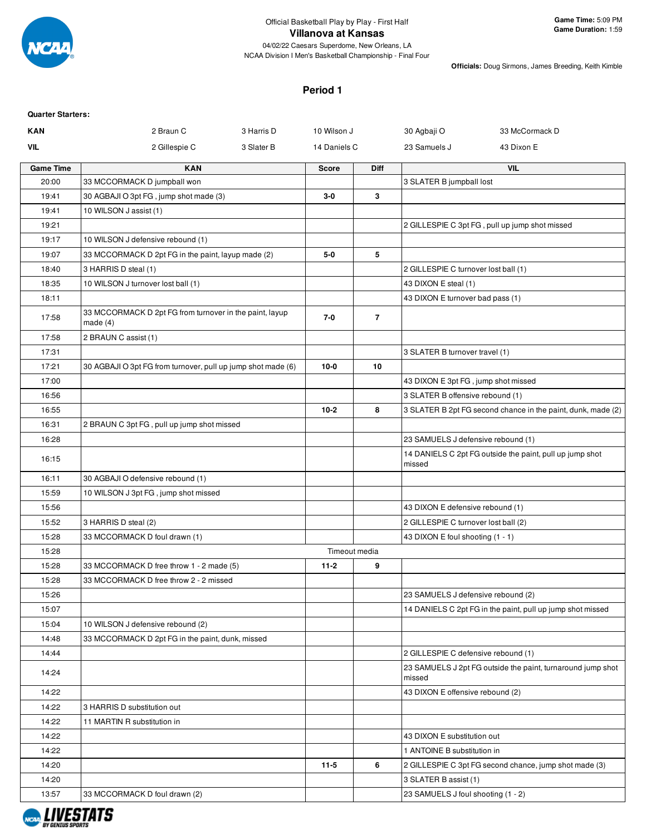

**Officials:** Doug Sirmons, James Breeding, Keith Kimble

#### **Period 1**

| <b>Quarter Starters:</b> |                                                                       |            |               |                |                                      |                                                              |
|--------------------------|-----------------------------------------------------------------------|------------|---------------|----------------|--------------------------------------|--------------------------------------------------------------|
| <b>KAN</b>               | 2 Braun C                                                             | 3 Harris D | 10 Wilson J   |                | 30 Agbaji O                          | 33 McCormack D                                               |
| VIL                      | 2 Gillespie C                                                         | 3 Slater B | 14 Daniels C  |                | 23 Samuels J                         | 43 Dixon E                                                   |
| <b>Game Time</b>         | <b>KAN</b>                                                            |            | <b>Score</b>  | Diff           |                                      | <b>VIL</b>                                                   |
| 20:00                    | 33 MCCORMACK D jumpball won                                           |            |               |                | 3 SLATER B jumpball lost             |                                                              |
| 19:41                    | 30 AGBAJI O 3pt FG, jump shot made (3)                                |            | $3-0$         | 3              |                                      |                                                              |
| 19:41                    | 10 WILSON J assist (1)                                                |            |               |                |                                      |                                                              |
| 19:21                    |                                                                       |            |               |                |                                      | 2 GILLESPIE C 3pt FG, pull up jump shot missed               |
| 19:17                    | 10 WILSON J defensive rebound (1)                                     |            |               |                |                                      |                                                              |
| 19:07                    | 33 MCCORMACK D 2pt FG in the paint, layup made (2)                    |            | $5-0$         | 5              |                                      |                                                              |
| 18:40                    | 3 HARRIS D steal (1)                                                  |            |               |                | 2 GILLESPIE C turnover lost ball (1) |                                                              |
| 18:35                    | 10 WILSON J turnover lost ball (1)                                    |            |               |                | 43 DIXON E steal (1)                 |                                                              |
| 18:11                    |                                                                       |            |               |                | 43 DIXON E turnover bad pass (1)     |                                                              |
| 17:58                    | 33 MCCORMACK D 2pt FG from turnover in the paint, layup<br>made $(4)$ |            | 7-0           | $\overline{7}$ |                                      |                                                              |
| 17:58                    | 2 BRAUN C assist (1)                                                  |            |               |                |                                      |                                                              |
| 17:31                    |                                                                       |            |               |                | 3 SLATER B turnover travel (1)       |                                                              |
| 17:21                    | 30 AGBAJI O 3pt FG from turnover, pull up jump shot made (6)          |            | $10-0$        | 10             |                                      |                                                              |
| 17:00                    |                                                                       |            |               |                | 43 DIXON E 3pt FG, jump shot missed  |                                                              |
| 16:56                    |                                                                       |            |               |                | 3 SLATER B offensive rebound (1)     |                                                              |
| 16:55                    |                                                                       |            | $10 - 2$      | 8              |                                      | 3 SLATER B 2pt FG second chance in the paint, dunk, made (2) |
| 16:31                    | 2 BRAUN C 3pt FG, pull up jump shot missed                            |            |               |                |                                      |                                                              |
| 16:28                    |                                                                       |            |               |                | 23 SAMUELS J defensive rebound (1)   |                                                              |
| 16:15                    |                                                                       |            |               |                | missed                               | 14 DANIELS C 2pt FG outside the paint, pull up jump shot     |
| 16:11                    | 30 AGBAJI O defensive rebound (1)                                     |            |               |                |                                      |                                                              |
| 15:59                    | 10 WILSON J 3pt FG, jump shot missed                                  |            |               |                |                                      |                                                              |
| 15:56                    |                                                                       |            |               |                | 43 DIXON E defensive rebound (1)     |                                                              |
| 15:52                    | 3 HARRIS D steal (2)                                                  |            |               |                | 2 GILLESPIE C turnover lost ball (2) |                                                              |
| 15:28                    | 33 MCCORMACK D foul drawn (1)                                         |            |               |                | 43 DIXON E foul shooting (1 - 1)     |                                                              |
| 15:28                    |                                                                       |            | Timeout media |                |                                      |                                                              |
| 15:28                    | 33 MCCORMACK D free throw 1 - 2 made (5)                              |            | $11 - 2$      | 9              |                                      |                                                              |
| 15:28                    | 33 MCCORMACK D free throw 2 - 2 missed                                |            |               |                |                                      |                                                              |
| 15:26                    |                                                                       |            |               |                | 23 SAMUELS J defensive rebound (2)   |                                                              |
| 15:07                    |                                                                       |            |               |                |                                      | 14 DANIELS C 2pt FG in the paint, pull up jump shot missed   |
| 15:04                    | 10 WILSON J defensive rebound (2)                                     |            |               |                |                                      |                                                              |
| 14:48                    | 33 MCCORMACK D 2pt FG in the paint, dunk, missed                      |            |               |                |                                      |                                                              |
| 14:44                    |                                                                       |            |               |                | 2 GILLESPIE C defensive rebound (1)  |                                                              |
| 14:24                    |                                                                       |            |               |                | missed                               | 23 SAMUELS J 2pt FG outside the paint, turnaround jump shot  |
| 14:22                    |                                                                       |            |               |                | 43 DIXON E offensive rebound (2)     |                                                              |
| 14:22                    | 3 HARRIS D substitution out                                           |            |               |                |                                      |                                                              |
| 14:22                    | 11 MARTIN R substitution in                                           |            |               |                |                                      |                                                              |
| 14:22                    |                                                                       |            |               |                | 43 DIXON E substitution out          |                                                              |
| 14:22                    |                                                                       |            |               |                | 1 ANTOINE B substitution in          |                                                              |
| 14:20                    |                                                                       |            | $11-5$        | 6              |                                      | 2 GILLESPIE C 3pt FG second chance, jump shot made (3)       |
| 14:20                    |                                                                       |            |               |                | 3 SLATER B assist (1)                |                                                              |
| 13:57                    | 33 MCCORMACK D foul drawn (2)                                         |            |               |                | 23 SAMUELS J foul shooting (1 - 2)   |                                                              |
|                          |                                                                       |            |               |                |                                      |                                                              |

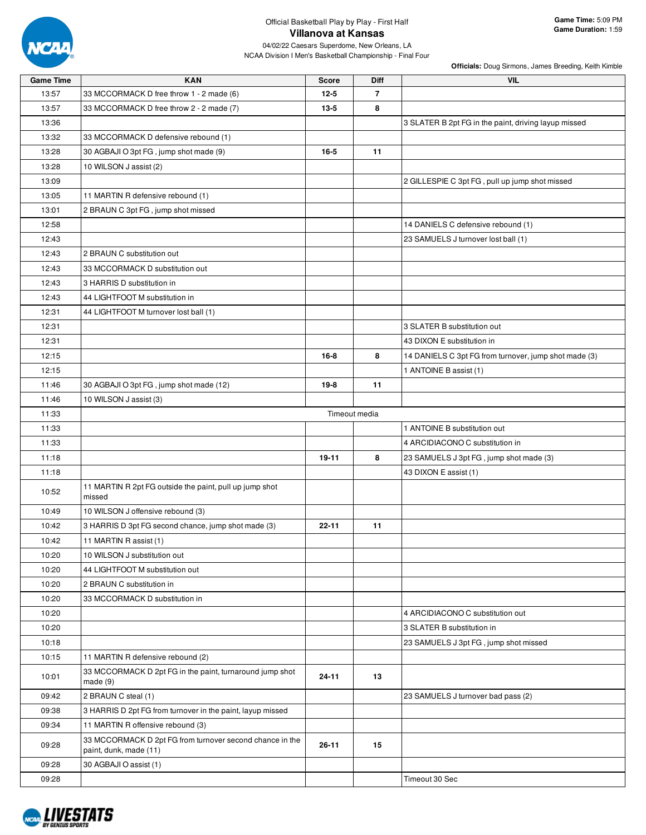

NCAA Division I Men's Basketball Championship - Final Four

| <b>Game Time</b> | <b>KAN</b>                                                                         | <b>Score</b> | Diff           | VIL                                                   |
|------------------|------------------------------------------------------------------------------------|--------------|----------------|-------------------------------------------------------|
| 13:57            | 33 MCCORMACK D free throw 1 - 2 made (6)                                           | $12 - 5$     | $\overline{7}$ |                                                       |
| 13:57            | 33 MCCORMACK D free throw 2 - 2 made (7)                                           | 13-5         | 8              |                                                       |
| 13:36            |                                                                                    |              |                | 3 SLATER B 2pt FG in the paint, driving layup missed  |
| 13:32            | 33 MCCORMACK D defensive rebound (1)                                               |              |                |                                                       |
| 13:28            | 30 AGBAJI O 3pt FG, jump shot made (9)                                             | $16 - 5$     | 11             |                                                       |
| 13:28            | 10 WILSON J assist (2)                                                             |              |                |                                                       |
| 13:09            |                                                                                    |              |                | 2 GILLESPIE C 3pt FG, pull up jump shot missed        |
| 13:05            | 11 MARTIN R defensive rebound (1)                                                  |              |                |                                                       |
| 13:01            | 2 BRAUN C 3pt FG, jump shot missed                                                 |              |                |                                                       |
| 12:58            |                                                                                    |              |                | 14 DANIELS C defensive rebound (1)                    |
| 12:43            |                                                                                    |              |                | 23 SAMUELS J turnover lost ball (1)                   |
| 12:43            | 2 BRAUN C substitution out                                                         |              |                |                                                       |
| 12:43            | 33 MCCORMACK D substitution out                                                    |              |                |                                                       |
| 12:43            | 3 HARRIS D substitution in                                                         |              |                |                                                       |
| 12:43            | 44 LIGHTFOOT M substitution in                                                     |              |                |                                                       |
| 12:31            | 44 LIGHTFOOT M turnover lost ball (1)                                              |              |                |                                                       |
| 12:31            |                                                                                    |              |                | 3 SLATER B substitution out                           |
| 12:31            |                                                                                    |              |                | 43 DIXON E substitution in                            |
| 12:15            |                                                                                    | $16 - 8$     | 8              | 14 DANIELS C 3pt FG from turnover, jump shot made (3) |
| 12:15            |                                                                                    |              |                | 1 ANTOINE B assist (1)                                |
| 11:46            | 30 AGBAJI O 3pt FG, jump shot made (12)                                            | $19-8$       | 11             |                                                       |
| 11:46            | 10 WILSON J assist (3)                                                             |              |                |                                                       |
| 11:33            |                                                                                    |              | Timeout media  |                                                       |
| 11:33            |                                                                                    |              |                | 1 ANTOINE B substitution out                          |
| 11:33            |                                                                                    |              |                | 4 ARCIDIACONO C substitution in                       |
| 11:18            |                                                                                    | 19-11        | 8              | 23 SAMUELS J 3pt FG, jump shot made (3)               |
| 11:18            |                                                                                    |              |                | 43 DIXON E assist (1)                                 |
|                  | 11 MARTIN R 2pt FG outside the paint, pull up jump shot                            |              |                |                                                       |
| 10:52            | missed                                                                             |              |                |                                                       |
| 10:49            | 10 WILSON J offensive rebound (3)                                                  |              |                |                                                       |
| 10:42            | 3 HARRIS D 3pt FG second chance, jump shot made (3)                                | $22 - 11$    | 11             |                                                       |
| 10:42            | 11 MARTIN R assist (1)                                                             |              |                |                                                       |
| 10:20            | 10 WILSON J substitution out                                                       |              |                |                                                       |
| 10:20            | 44 LIGHTFOOT M substitution out                                                    |              |                |                                                       |
| 10:20            | 2 BRAUN C substitution in                                                          |              |                |                                                       |
| 10:20            | 33 MCCORMACK D substitution in                                                     |              |                |                                                       |
| 10:20            |                                                                                    |              |                | 4 ARCIDIACONO C substitution out                      |
| 10:20            |                                                                                    |              |                | 3 SLATER B substitution in                            |
| 10:18            |                                                                                    |              |                | 23 SAMUELS J 3pt FG, jump shot missed                 |
| 10:15            | 11 MARTIN R defensive rebound (2)                                                  |              |                |                                                       |
| 10:01            | 33 MCCORMACK D 2pt FG in the paint, turnaround jump shot<br>made(9)                | $24 - 11$    | 13             |                                                       |
| 09:42            | 2 BRAUN C steal (1)                                                                |              |                | 23 SAMUELS J turnover bad pass (2)                    |
| 09:38            | 3 HARRIS D 2pt FG from turnover in the paint, layup missed                         |              |                |                                                       |
| 09:34            | 11 MARTIN R offensive rebound (3)                                                  |              |                |                                                       |
| 09:28            | 33 MCCORMACK D 2pt FG from turnover second chance in the<br>paint, dunk, made (11) | $26 - 11$    | 15             |                                                       |
| 09:28            | 30 AGBAJI O assist (1)                                                             |              |                |                                                       |
| 09:28            |                                                                                    |              |                | Timeout 30 Sec                                        |

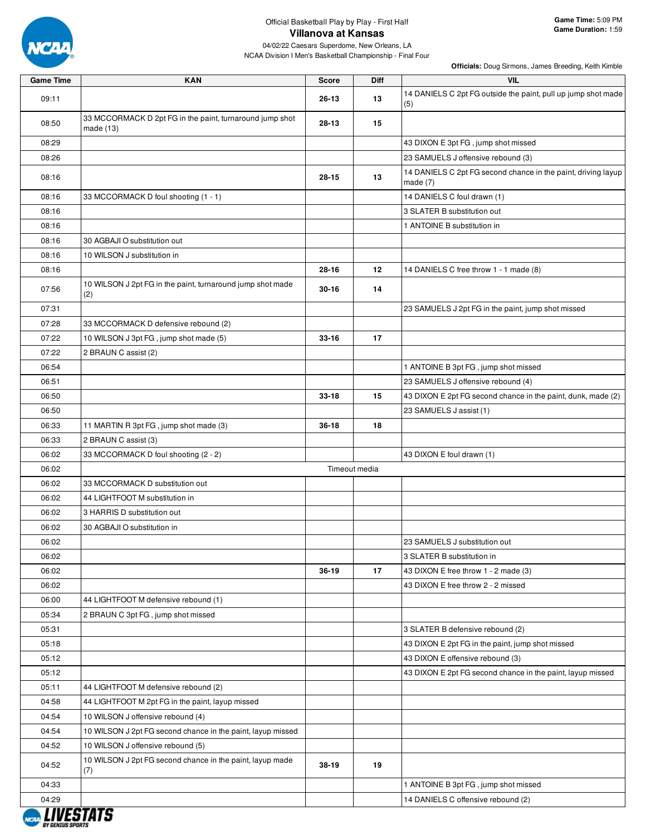

04/02/22 Caesars Superdome, New Orleans, LA NCAA Division I Men's Basketball Championship - Final Four

| <b>Game Time</b> | <b>KAN</b>                                                            | <b>Score</b> | <b>Diff</b>   | <b>VIL</b>                                                                  |
|------------------|-----------------------------------------------------------------------|--------------|---------------|-----------------------------------------------------------------------------|
| 09:11            |                                                                       | 26-13        | 13            | 14 DANIELS C 2pt FG outside the paint, pull up jump shot made<br>(5)        |
| 08:50            | 33 MCCORMACK D 2pt FG in the paint, turnaround jump shot<br>made (13) | $28 - 13$    | 15            |                                                                             |
| 08:29            |                                                                       |              |               | 43 DIXON E 3pt FG, jump shot missed                                         |
| 08:26            |                                                                       |              |               | 23 SAMUELS J offensive rebound (3)                                          |
| 08:16            |                                                                       | $28 - 15$    | 13            | 14 DANIELS C 2pt FG second chance in the paint, driving layup<br>made $(7)$ |
| 08:16            | 33 MCCORMACK D foul shooting (1 - 1)                                  |              |               | 14 DANIELS C foul drawn (1)                                                 |
| 08:16            |                                                                       |              |               | 3 SLATER B substitution out                                                 |
| 08:16            |                                                                       |              |               | 1 ANTOINE B substitution in                                                 |
| 08:16            | 30 AGBAJI O substitution out                                          |              |               |                                                                             |
| 08:16            | 10 WILSON J substitution in                                           |              |               |                                                                             |
| 08:16            |                                                                       | 28-16        | 12            | 14 DANIELS C free throw 1 - 1 made (8)                                      |
| 07:56            | 10 WILSON J 2pt FG in the paint, turnaround jump shot made<br>(2)     | $30 - 16$    | 14            |                                                                             |
| 07:31            |                                                                       |              |               | 23 SAMUELS J 2pt FG in the paint, jump shot missed                          |
| 07:28            | 33 MCCORMACK D defensive rebound (2)                                  |              |               |                                                                             |
| 07:22            | 10 WILSON J 3pt FG, jump shot made (5)                                | $33 - 16$    | 17            |                                                                             |
| 07:22            | 2 BRAUN C assist (2)                                                  |              |               |                                                                             |
| 06:54            |                                                                       |              |               | 1 ANTOINE B 3pt FG, jump shot missed                                        |
| 06:51            |                                                                       |              |               | 23 SAMUELS J offensive rebound (4)                                          |
| 06:50            |                                                                       | $33 - 18$    | 15            | 43 DIXON E 2pt FG second chance in the paint, dunk, made (2)                |
| 06:50            |                                                                       |              |               | 23 SAMUELS J assist (1)                                                     |
| 06:33            | 11 MARTIN R 3pt FG, jump shot made (3)                                | $36 - 18$    | 18            |                                                                             |
| 06:33            | 2 BRAUN C assist (3)                                                  |              |               |                                                                             |
| 06:02            | 33 MCCORMACK D foul shooting (2 - 2)                                  |              |               | 43 DIXON E foul drawn (1)                                                   |
| 06:02            |                                                                       |              | Timeout media |                                                                             |
| 06:02            | 33 MCCORMACK D substitution out                                       |              |               |                                                                             |
| 06:02            | 44 LIGHTFOOT M substitution in                                        |              |               |                                                                             |
| 06:02            | 3 HARRIS D substitution out                                           |              |               |                                                                             |
| 06:02            | 30 AGBAJI O substitution in                                           |              |               |                                                                             |
| 06:02            |                                                                       |              |               | 23 SAMUELS J substitution out                                               |
| 06:02            |                                                                       |              |               | 3 SLATER B substitution in                                                  |
| 06:02            |                                                                       | 36-19        | 17            | 43 DIXON E free throw 1 - 2 made (3)                                        |
| 06:02            |                                                                       |              |               | 43 DIXON E free throw 2 - 2 missed                                          |
| 06:00            | 44 LIGHTFOOT M defensive rebound (1)                                  |              |               |                                                                             |
| 05:34            | 2 BRAUN C 3pt FG, jump shot missed                                    |              |               |                                                                             |
| 05:31            |                                                                       |              |               | 3 SLATER B defensive rebound (2)                                            |
| 05:18            |                                                                       |              |               | 43 DIXON E 2pt FG in the paint, jump shot missed                            |
| 05:12            |                                                                       |              |               | 43 DIXON E offensive rebound (3)                                            |
| 05:12            |                                                                       |              |               | 43 DIXON E 2pt FG second chance in the paint, layup missed                  |
| 05:11            | 44 LIGHTFOOT M defensive rebound (2)                                  |              |               |                                                                             |
| 04:58            | 44 LIGHTFOOT M 2pt FG in the paint, layup missed                      |              |               |                                                                             |
| 04:54            | 10 WILSON J offensive rebound (4)                                     |              |               |                                                                             |
| 04:54            | 10 WILSON J 2pt FG second chance in the paint, layup missed           |              |               |                                                                             |
| 04:52            | 10 WILSON J offensive rebound (5)                                     |              |               |                                                                             |
| 04:52            | 10 WILSON J 2pt FG second chance in the paint, layup made<br>(7)      | 38-19        | 19            |                                                                             |
| 04:33            |                                                                       |              |               | 1 ANTOINE B 3pt FG, jump shot missed                                        |
| 04:29            |                                                                       |              |               | 14 DANIELS C offensive rebound (2)                                          |

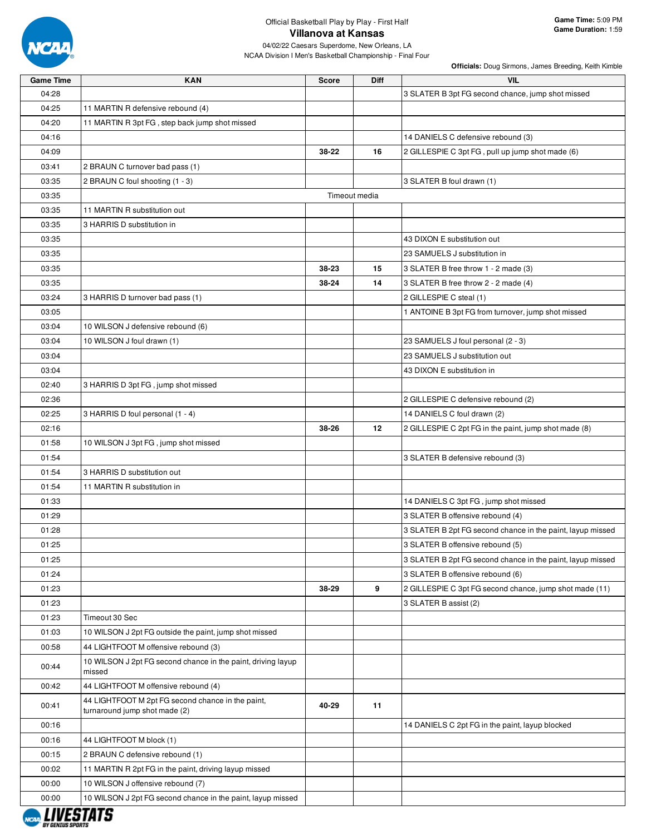

04/02/22 Caesars Superdome, New Orleans, LA NCAA Division I Men's Basketball Championship - Final Four

| <b>Game Time</b>        | <b>KAN</b>                                                             | <b>Score</b> | Diff          | <b>VIL</b>                                                 |
|-------------------------|------------------------------------------------------------------------|--------------|---------------|------------------------------------------------------------|
| 04:28                   |                                                                        |              |               | 3 SLATER B 3pt FG second chance, jump shot missed          |
| 04:25                   | 11 MARTIN R defensive rebound (4)                                      |              |               |                                                            |
| 04:20                   | 11 MARTIN R 3pt FG, step back jump shot missed                         |              |               |                                                            |
| 04:16                   |                                                                        |              |               | 14 DANIELS C defensive rebound (3)                         |
| 04:09                   |                                                                        | 38-22        | 16            | 2 GILLESPIE C 3pt FG, pull up jump shot made (6)           |
| 03:41                   | 2 BRAUN C turnover bad pass (1)                                        |              |               |                                                            |
| 03:35                   | 2 BRAUN C foul shooting (1 - 3)                                        |              |               | 3 SLATER B foul drawn (1)                                  |
| 03:35                   |                                                                        |              | Timeout media |                                                            |
| 03:35                   | 11 MARTIN R substitution out                                           |              |               |                                                            |
| 03:35                   | 3 HARRIS D substitution in                                             |              |               |                                                            |
| 03:35                   |                                                                        |              |               | 43 DIXON E substitution out                                |
| 03:35                   |                                                                        |              |               | 23 SAMUELS J substitution in                               |
| 03:35                   |                                                                        | 38-23        | 15            | 3 SLATER B free throw 1 - 2 made (3)                       |
| 03:35                   |                                                                        | 38-24        | 14            | 3 SLATER B free throw 2 - 2 made (4)                       |
| 03:24                   | 3 HARRIS D turnover bad pass (1)                                       |              |               | 2 GILLESPIE C steal (1)                                    |
| 03:05                   |                                                                        |              |               | 1 ANTOINE B 3pt FG from turnover, jump shot missed         |
| 03:04                   | 10 WILSON J defensive rebound (6)                                      |              |               |                                                            |
| 03:04                   | 10 WILSON J foul drawn (1)                                             |              |               | 23 SAMUELS J foul personal (2 - 3)                         |
| 03:04                   |                                                                        |              |               | 23 SAMUELS J substitution out                              |
| 03:04                   |                                                                        |              |               | 43 DIXON E substitution in                                 |
| 02:40                   | 3 HARRIS D 3pt FG, jump shot missed                                    |              |               |                                                            |
| 02:36                   |                                                                        |              |               | 2 GILLESPIE C defensive rebound (2)                        |
| 02:25                   | 3 HARRIS D foul personal (1 - 4)                                       |              |               | 14 DANIELS C foul drawn (2)                                |
| 02:16                   |                                                                        | 38-26        | 12            | 2 GILLESPIE C 2pt FG in the paint, jump shot made (8)      |
| 01:58                   | 10 WILSON J 3pt FG, jump shot missed                                   |              |               |                                                            |
| 01:54                   |                                                                        |              |               | 3 SLATER B defensive rebound (3)                           |
| 01:54                   | 3 HARRIS D substitution out                                            |              |               |                                                            |
| 01:54                   | 11 MARTIN R substitution in                                            |              |               |                                                            |
| 01:33                   |                                                                        |              |               | 14 DANIELS C 3pt FG, jump shot missed                      |
| 01:29                   |                                                                        |              |               | 3 SLATER B offensive rebound (4)                           |
| 01:28                   |                                                                        |              |               | 3 SLATER B 2pt FG second chance in the paint, layup missed |
| 01:25                   |                                                                        |              |               | 3 SLATER B offensive rebound (5)                           |
| 01:25                   |                                                                        |              |               | 3 SLATER B 2pt FG second chance in the paint, layup missed |
| 01:24                   |                                                                        |              |               | 3 SLATER B offensive rebound (6)                           |
| 01:23                   |                                                                        | 38-29        | 9             | 2 GILLESPIE C 3pt FG second chance, jump shot made (11)    |
| 01:23                   |                                                                        |              |               | 3 SLATER B assist (2)                                      |
| 01:23                   | Timeout 30 Sec                                                         |              |               |                                                            |
| 01:03                   | 10 WILSON J 2pt FG outside the paint, jump shot missed                 |              |               |                                                            |
| 00:58                   | 44 LIGHTFOOT M offensive rebound (3)                                   |              |               |                                                            |
| 00:44                   | 10 WILSON J 2pt FG second chance in the paint, driving layup<br>missed |              |               |                                                            |
| 00:42                   | 44 LIGHTFOOT M offensive rebound (4)                                   |              |               |                                                            |
| 00:41                   | 44 LIGHTFOOT M 2pt FG second chance in the paint,                      | 40-29        | 11            |                                                            |
|                         | turnaround jump shot made (2)                                          |              |               |                                                            |
| 00:16                   |                                                                        |              |               | 14 DANIELS C 2pt FG in the paint, layup blocked            |
| 00:16                   | 44 LIGHTFOOT M block (1)                                               |              |               |                                                            |
| 00:15                   | 2 BRAUN C defensive rebound (1)                                        |              |               |                                                            |
| 00:02                   | 11 MARTIN R 2pt FG in the paint, driving layup missed                  |              |               |                                                            |
| 00:00                   | 10 WILSON J offensive rebound (7)                                      |              |               |                                                            |
| 00:00                   | 10 WILSON J 2pt FG second chance in the paint, layup missed            |              |               |                                                            |
| <i><b>LIVESTATS</b></i> |                                                                        |              |               |                                                            |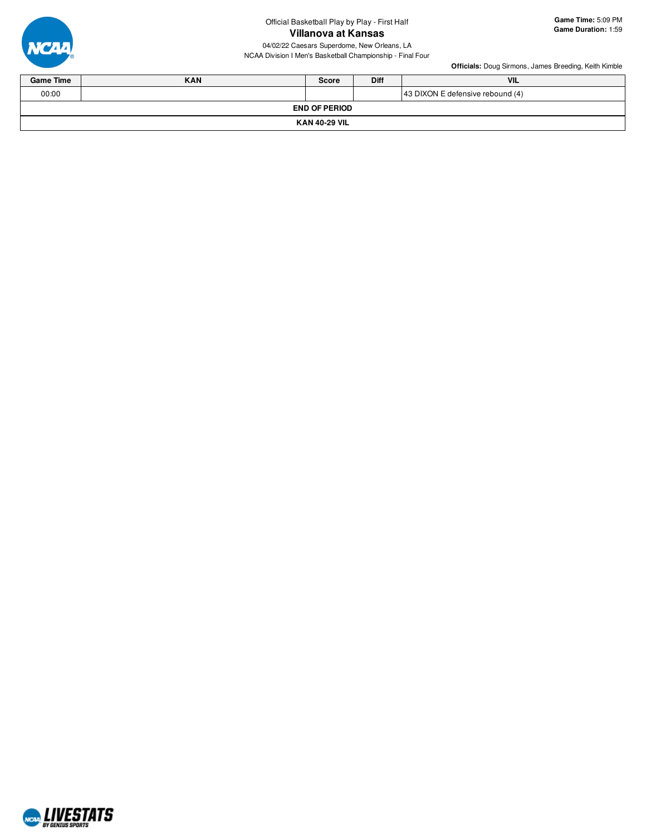

04/02/22 Caesars Superdome, New Orleans, LA NCAA Division I Men's Basketball Championship - Final Four

| <b>Game Time</b> | <b>KAN</b>           | <b>Score</b>         | <b>Diff</b> | <b>VIL</b>                       |  |  |  |  |  |  |  |  |
|------------------|----------------------|----------------------|-------------|----------------------------------|--|--|--|--|--|--|--|--|
| 00:00            |                      |                      |             | 43 DIXON E defensive rebound (4) |  |  |  |  |  |  |  |  |
|                  |                      | <b>END OF PERIOD</b> |             |                                  |  |  |  |  |  |  |  |  |
|                  | <b>KAN 40-29 VIL</b> |                      |             |                                  |  |  |  |  |  |  |  |  |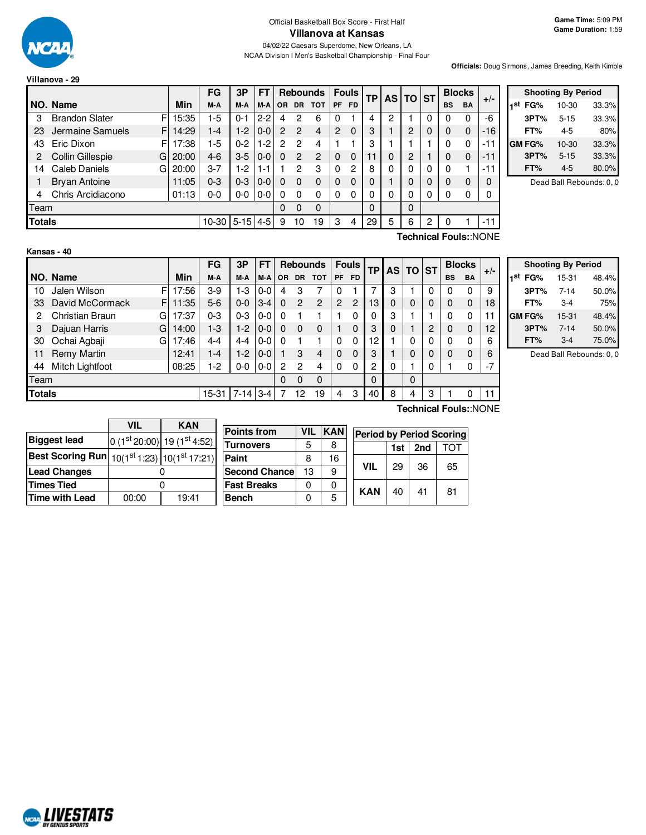

## Official Basketball Box Score - First Half **Villanova at Kansas**

04/02/22 Caesars Superdome, New Orleans, LA NCAA Division I Men's Basketball Championship - Final Four

#### **Villanova - 29**

**Officials:** Doug Sirmons, James Breeding, Keith Kimble

|               |                            |            | FG        | 3P       | FТ       |          | <b>Rebounds</b> |                |           | <b>Fouls</b> | ΤP |          | AS TO ST       |   | <b>Blocks</b> |           |           |
|---------------|----------------------------|------------|-----------|----------|----------|----------|-----------------|----------------|-----------|--------------|----|----------|----------------|---|---------------|-----------|-----------|
|               | NO. Name                   | <b>Min</b> | M-A       | M-A      | M-A      | OR.      | <b>DR</b>       | <b>TOT</b>     | <b>PF</b> | <b>FD</b>    |    |          |                |   | <b>BS</b>     | <b>BA</b> | $+/-$     |
| 3             | <b>Brandon Slater</b><br>F | 15:35      | 1-5       | $0 - 1$  | $2 - 2$  | 4        | 2               | 6              | 0         |              | 4  | 2        |                | 0 | 0             |           | -6        |
| 23            | Jermaine Samuels<br>F      | 14:29      | 1-4       | $1-2$    | $0 - 0$  | 2        | 2               | $\overline{4}$ | 2         | $\Omega$     | 3  |          | $\overline{c}$ | 0 | $\Omega$      | $\Omega$  | $-16$     |
| 43            | Eric Dixon<br>F            | 17:38      | $1-5$     | $0 - 2$  | 1-2      | 2        | 2               | 4              |           |              | 3  |          |                |   | 0             | 0         | $-1$<br>1 |
| 2             | Collin Gillespie<br>G      | 20:00      | $4 - 6$   | $3-5$    | $0 - 0$  | $\Omega$ | 2               | $\overline{c}$ | $\Omega$  | $\Omega$     | 11 | 0        | $\overline{2}$ |   | 0             | $\Omega$  | $-11$     |
| 14            | Caleb Daniels<br>G         | 20:00      | 3-7       | $1-2$    | 1-1      |          | 2               | 3              | 0         | 2            | 8  | 0        | 0              | 0 | 0             |           | -1        |
|               | <b>Bryan Antoine</b>       | 11:05      | $0 - 3$   | $0 - 3$  | $0 - 0$  | 0        | $\Omega$        | $\Omega$       | 0         | $\Omega$     | 0  |          | $\Omega$       |   | 0             | $\Omega$  | $\Omega$  |
| 4             | Chris Arcidiacono          | 01:13      | 0-0       | $0-0$    | $0-0$    | O        | 0               | $\Omega$       | 0         | 0            | 0  | 0        | 0              | 0 | 0             | ŋ         | 0         |
| Team          |                            |            |           |          | $\Omega$ | 0        | $\mathbf 0$     |                |           | $\Omega$     |    | $\Omega$ |                |   |               |           |           |
| <b>Totals</b> |                            |            | $10 - 30$ | $5 - 15$ | $4 - 5$  | 9        | 10              | 19             | 3         | 4            | 29 | 5        | 6              | 2 | 0             |           | $-11$     |

| <b>Shooting By Period</b> |               |          |       |  |  |  |  |  |  |  |
|---------------------------|---------------|----------|-------|--|--|--|--|--|--|--|
| 1st                       | FG%           | 10-30    | 33.3% |  |  |  |  |  |  |  |
|                           | 3PT%          | $5 - 15$ | 33.3% |  |  |  |  |  |  |  |
|                           | FT%           | 4-5      | 80%   |  |  |  |  |  |  |  |
|                           | <b>GM FG%</b> | 10-30    | 33.3% |  |  |  |  |  |  |  |
|                           | 3PT%          | $5 - 15$ | 33.3% |  |  |  |  |  |  |  |
|                           | FT%           | $4 - 5$  | 80.0% |  |  |  |  |  |  |  |

Dead Ball Rebounds: 0, 0

| Kansas - 40 |  |
|-------------|--|
|-------------|--|

**Technical Fouls:**:NONE

|               |                       |       | FG      | 3P       | <b>FT</b> |           |              | <b>Rebounds</b> |    | <b>Fouls</b><br>ТP |                | <b>AS</b> | <b>TO ST</b> |   | <b>Blocks</b> |           |       |
|---------------|-----------------------|-------|---------|----------|-----------|-----------|--------------|-----------------|----|--------------------|----------------|-----------|--------------|---|---------------|-----------|-------|
|               | NO. Name              | Min   | M-A     | M-A      | M-A       | <b>OR</b> | <b>DR</b>    | <b>TOT</b>      | PF | <b>FD</b>          |                |           |              |   | <b>BS</b>     | <b>BA</b> | $+/-$ |
| 10            | Jalen Wilson<br>FI    | 17:56 | $3-9$   | 1-3      | $0-0$     | 4         | 3            |                 | 0  |                    |                | 3         |              | 0 | 0             | 0         | 9     |
| 33            | David McCormack<br>FI | 11:35 | $5-6$   | $0 - 0$  | $3-4$     | $\Omega$  | 2            | 2               | 2  | 2                  | 13             | 0         | 0            | 0 | 0             | 0         | 18    |
| 2             | Christian Braun<br>GI | 17:37 | $0 - 3$ | $0 - 3$  | $0-0$     | $\Omega$  |              |                 |    | 0                  | 0              | 3         |              |   | 0             | 0         | 11    |
| 3             | Dajuan Harris<br>Gl   | 14:00 | 1-3     | 1-2      | $0 - 0$   | $\Omega$  | 0            | $\Omega$        |    | 0                  | 3              | 0         |              | 2 | 0             | 0         | 12    |
| 30            | Ochai Agbaji<br>G     | 17:46 | $4 - 4$ | $4 - 4$  | $0-0$     | $\Omega$  |              |                 | 0  | 0                  | 12             |           | 0            | 0 | 0             | 0         | 6     |
| 11            | <b>Remy Martin</b>    | 12:41 | $1 - 4$ | 1-2      | $0 - 0$   |           | 3            | 4               | 0  | 0                  | 3              |           | 0            | 0 | 0             | 0         | 6     |
| 44            | Mitch Lightfoot       | 08:25 | $1-2$   | $0-0$    | $0-0$     | 2         | 2            | 4               | 0  | 0                  | $\overline{2}$ | 0         |              | 0 |               | 0         | -7    |
| Team          |                       |       |         |          |           | $\Omega$  | $\mathbf{0}$ | 0               |    |                    | $\Omega$       |           | $\Omega$     |   |               |           |       |
| <b>Totals</b> |                       |       | 15-31   | $7 - 14$ | $3 - 4$   |           | 12           | 19              | 4  | 3                  | 40             | 8         | 4            | 3 |               | 0         | 11    |

|     | <b>Shooting By Period</b> |          |       |  |  |  |  |  |  |  |
|-----|---------------------------|----------|-------|--|--|--|--|--|--|--|
| 1st | FG%                       | 15-31    | 48.4% |  |  |  |  |  |  |  |
|     | 3PT%                      | $7 - 14$ | 50.0% |  |  |  |  |  |  |  |
|     | FT%                       | $3-4$    | 75%   |  |  |  |  |  |  |  |
|     | GM FG%                    | 15-31    | 48.4% |  |  |  |  |  |  |  |
|     | 3PT%                      | $7 - 14$ | 50.0% |  |  |  |  |  |  |  |
|     | FT%                       | $3-4$    | 75.0% |  |  |  |  |  |  |  |
|     |                           |          |       |  |  |  |  |  |  |  |

Dead Ball Rebounds: 0, 0

|                                                            | V⊪    | <b>KAN</b>                |  |  |  |  |
|------------------------------------------------------------|-------|---------------------------|--|--|--|--|
| <b>Biggest lead</b>                                        |       | $0(1st20:00) 19(1st4:52)$ |  |  |  |  |
| <b>Best Scoring Run</b> $10(1^{st}1:23)$ $10(1^{st}17:21)$ |       |                           |  |  |  |  |
| <b>Lead Changes</b>                                        |       |                           |  |  |  |  |
| <b>Times Tied</b>                                          |       |                           |  |  |  |  |
| <b>Time with Lead</b>                                      | 00:00 | 19:41                     |  |  |  |  |

| <b>Points from</b>    | VIL | <b>KAN</b> | <b>Period by Period Scoring</b> |            |     |     |    |  |  |  |
|-----------------------|-----|------------|---------------------------------|------------|-----|-----|----|--|--|--|
| <b>Turnovers</b>      | 5   | 8          |                                 |            | 1st | 2nd | דר |  |  |  |
| Paint                 | 8   | 16         |                                 |            |     | 36  |    |  |  |  |
| <b>Second Chancel</b> | 13  | 9          |                                 | VIL        | 29  |     | 65 |  |  |  |
| <b>Fast Breaks</b>    |     |            |                                 |            |     |     |    |  |  |  |
| <b>Bench</b>          |     | 5          |                                 | <b>KAN</b> | 40  | 41  | 81 |  |  |  |

**Technical Fouls:**:NONE

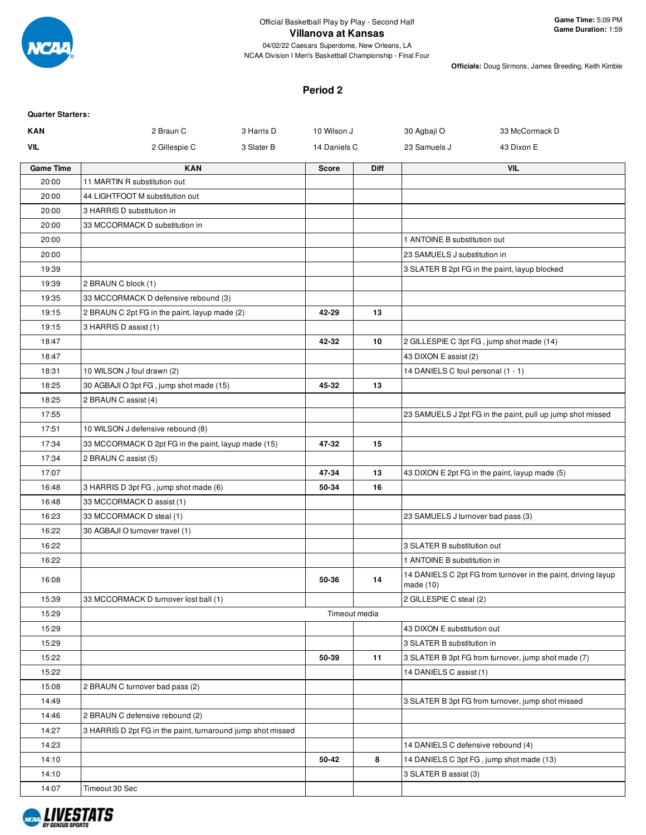

**Officials:** Doug Sirmons, James Breeding, Keith Kimble

#### **Period 2**

| <b>Quarter Starters:</b> |                                                             |            |               |             |                                    |                                                               |
|--------------------------|-------------------------------------------------------------|------------|---------------|-------------|------------------------------------|---------------------------------------------------------------|
| <b>KAN</b>               | 2 Braun C                                                   | 3 Harris D | 10 Wilson J   |             | 30 Agbaji O                        | 33 McCormack D                                                |
| <b>VIL</b>               | 2 Gillespie C                                               | 3 Slater B | 14 Daniels C  |             | 23 Samuels J                       | 43 Dixon E                                                    |
| <b>Game Time</b>         | <b>KAN</b>                                                  |            | Score         | <b>Diff</b> |                                    | <b>VIL</b>                                                    |
| 20:00                    | 11 MARTIN R substitution out                                |            |               |             |                                    |                                                               |
| 20:00                    | 44 LIGHTFOOT M substitution out                             |            |               |             |                                    |                                                               |
| 20:00                    | 3 HARRIS D substitution in                                  |            |               |             |                                    |                                                               |
| 20:00                    | 33 MCCORMACK D substitution in                              |            |               |             |                                    |                                                               |
| 20:00                    |                                                             |            |               |             | 1 ANTOINE B substitution out       |                                                               |
| 20:00                    |                                                             |            |               |             | 23 SAMUELS J substitution in       |                                                               |
| 19:39                    |                                                             |            |               |             |                                    | 3 SLATER B 2pt FG in the paint, layup blocked                 |
| 19:39                    | 2 BRAUN C block (1)                                         |            |               |             |                                    |                                                               |
| 19:35                    | 33 MCCORMACK D defensive rebound (3)                        |            |               |             |                                    |                                                               |
| 19:15                    | 2 BRAUN C 2pt FG in the paint, layup made (2)               |            | 42-29         | 13          |                                    |                                                               |
| 19:15                    | 3 HARRIS D assist (1)                                       |            |               |             |                                    |                                                               |
| 18:47                    |                                                             |            | 42-32         | 10          |                                    | 2 GILLESPIE C 3pt FG, jump shot made (14)                     |
| 18:47                    |                                                             |            |               |             | 43 DIXON E assist (2)              |                                                               |
| 18:31                    | 10 WILSON J foul drawn (2)                                  |            |               |             | 14 DANIELS C foul personal (1 - 1) |                                                               |
| 18:25                    | 30 AGBAJI O 3pt FG, jump shot made (15)                     |            | 45-32         | 13          |                                    |                                                               |
| 18:25                    | 2 BRAUN C assist (4)                                        |            |               |             |                                    |                                                               |
| 17:55                    |                                                             |            |               |             |                                    | 23 SAMUELS J 2pt FG in the paint, pull up jump shot missed    |
| 17:51                    | 10 WILSON J defensive rebound (8)                           |            |               |             |                                    |                                                               |
| 17:34                    | 33 MCCORMACK D 2pt FG in the paint, layup made (15)         |            | 47-32         | 15          |                                    |                                                               |
| 17:34                    | 2 BRAUN C assist (5)                                        |            |               |             |                                    |                                                               |
| 17:07                    |                                                             |            | 47-34         | 13          |                                    | 43 DIXON E 2pt FG in the paint, layup made (5)                |
| 16:48                    | 3 HARRIS D 3pt FG, jump shot made (6)                       |            | 50-34         | 16          |                                    |                                                               |
| 16:48                    | 33 MCCORMACK D assist (1)                                   |            |               |             |                                    |                                                               |
| 16:23                    | 33 MCCORMACK D steal (1)                                    |            |               |             | 23 SAMUELS J turnover bad pass (3) |                                                               |
| 16:22                    | 30 AGBAJI O turnover travel (1)                             |            |               |             |                                    |                                                               |
| 16:22                    |                                                             |            |               |             | 3 SLATER B substitution out        |                                                               |
| 16:22                    |                                                             |            |               |             | 1 ANTOINE B substitution in        |                                                               |
| 16:08                    |                                                             |            | 50-36         | 14          | made $(10)$                        | 14 DANIELS C 2pt FG from turnover in the paint, driving layup |
| 15:39                    | 33 MCCORMACK D turnover lost ball (1)                       |            |               |             | 2 GILLESPIE C steal (2)            |                                                               |
| 15:29                    |                                                             |            | Timeout media |             |                                    |                                                               |
| 15:29                    |                                                             |            |               |             | 43 DIXON E substitution out        |                                                               |
| 15:29                    |                                                             |            |               |             | 3 SLATER B substitution in         |                                                               |
| 15:22                    |                                                             |            | 50-39         | 11          |                                    | 3 SLATER B 3pt FG from turnover, jump shot made (7)           |
| 15:22                    |                                                             |            |               |             | 14 DANIELS C assist (1)            |                                                               |
| 15:08                    | 2 BRAUN C turnover bad pass (2)                             |            |               |             |                                    |                                                               |
| 14:49                    |                                                             |            |               |             |                                    | 3 SLATER B 3pt FG from turnover, jump shot missed             |
| 14:46                    | 2 BRAUN C defensive rebound (2)                             |            |               |             |                                    |                                                               |
| 14:27                    | 3 HARRIS D 2pt FG in the paint, turnaround jump shot missed |            |               |             |                                    |                                                               |
| 14:23                    |                                                             |            |               |             | 14 DANIELS C defensive rebound (4) |                                                               |
| 14:10                    |                                                             |            | 50-42         | 8           |                                    | 14 DANIELS C 3pt FG, jump shot made (13)                      |
| 14:10                    |                                                             |            |               |             | 3 SLATER B assist (3)              |                                                               |
| 14:07                    | Timeout 30 Sec                                              |            |               |             |                                    |                                                               |

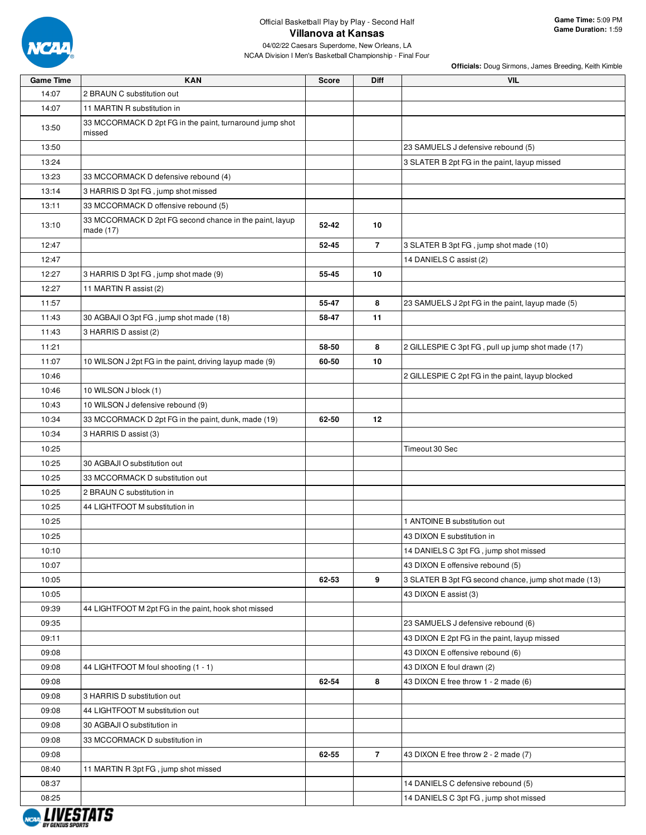

| <b>Game Time</b>       | <b>KAN</b>                                                           | <b>Score</b> | <b>Diff</b>    | <b>VIL</b>                                           |
|------------------------|----------------------------------------------------------------------|--------------|----------------|------------------------------------------------------|
| 14:07                  | 2 BRAUN C substitution out                                           |              |                |                                                      |
| 14:07                  | 11 MARTIN R substitution in                                          |              |                |                                                      |
| 13:50                  | 33 MCCORMACK D 2pt FG in the paint, turnaround jump shot<br>missed   |              |                |                                                      |
| 13:50                  |                                                                      |              |                | 23 SAMUELS J defensive rebound (5)                   |
| 13:24                  |                                                                      |              |                | 3 SLATER B 2pt FG in the paint, layup missed         |
| 13:23                  | 33 MCCORMACK D defensive rebound (4)                                 |              |                |                                                      |
| 13:14                  | 3 HARRIS D 3pt FG, jump shot missed                                  |              |                |                                                      |
| 13:11                  | 33 MCCORMACK D offensive rebound (5)                                 |              |                |                                                      |
| 13:10                  | 33 MCCORMACK D 2pt FG second chance in the paint, layup<br>made (17) | 52-42        | 10             |                                                      |
| 12:47                  |                                                                      | 52-45        | $\overline{7}$ | 3 SLATER B 3pt FG, jump shot made (10)               |
| 12:47                  |                                                                      |              |                | 14 DANIELS C assist (2)                              |
| 12:27                  | 3 HARRIS D 3pt FG, jump shot made (9)                                | 55-45        | 10             |                                                      |
| 12:27                  | 11 MARTIN R assist (2)                                               |              |                |                                                      |
| 11:57                  |                                                                      | 55-47        | 8              | 23 SAMUELS J 2pt FG in the paint, layup made (5)     |
| 11:43                  | 30 AGBAJI O 3pt FG, jump shot made (18)                              | 58-47        | 11             |                                                      |
| 11:43                  | 3 HARRIS D assist (2)                                                |              |                |                                                      |
| 11:21                  |                                                                      | 58-50        | 8              | 2 GILLESPIE C 3pt FG, pull up jump shot made (17)    |
| 11:07                  | 10 WILSON J 2pt FG in the paint, driving layup made (9)              | 60-50        | 10             |                                                      |
| 10:46                  |                                                                      |              |                | 2 GILLESPIE C 2pt FG in the paint, layup blocked     |
| 10:46                  | 10 WILSON J block (1)                                                |              |                |                                                      |
| 10:43                  | 10 WILSON J defensive rebound (9)                                    |              |                |                                                      |
| 10:34                  | 33 MCCORMACK D 2pt FG in the paint, dunk, made (19)                  | 62-50        | 12             |                                                      |
| 10:34                  | 3 HARRIS D assist (3)                                                |              |                |                                                      |
| 10:25                  |                                                                      |              |                | Timeout 30 Sec                                       |
| 10:25                  | 30 AGBAJI O substitution out                                         |              |                |                                                      |
| 10:25                  | 33 MCCORMACK D substitution out                                      |              |                |                                                      |
| 10:25                  | 2 BRAUN C substitution in                                            |              |                |                                                      |
| 10:25                  | 44 LIGHTFOOT M substitution in                                       |              |                |                                                      |
| 10:25                  |                                                                      |              |                | 1 ANTOINE B substitution out                         |
| 10:25                  |                                                                      |              |                | 43 DIXON E substitution in                           |
| 10:10                  |                                                                      |              |                | 14 DANIELS C 3pt FG, jump shot missed                |
| 10:07                  |                                                                      |              |                | 43 DIXON E offensive rebound (5)                     |
| 10:05                  |                                                                      | 62-53        | 9              | 3 SLATER B 3pt FG second chance, jump shot made (13) |
| 10:05                  |                                                                      |              |                | 43 DIXON E assist (3)                                |
| 09:39                  | 44 LIGHTFOOT M 2pt FG in the paint, hook shot missed                 |              |                |                                                      |
| 09:35                  |                                                                      |              |                | 23 SAMUELS J defensive rebound (6)                   |
| 09:11                  |                                                                      |              |                | 43 DIXON E 2pt FG in the paint, layup missed         |
| 09:08                  |                                                                      |              |                | 43 DIXON E offensive rebound (6)                     |
| 09:08                  | 44 LIGHTFOOT M foul shooting (1 - 1)                                 |              |                | 43 DIXON E foul drawn (2)                            |
| 09:08                  |                                                                      | 62-54        | 8              | 43 DIXON E free throw 1 - 2 made (6)                 |
| 09:08                  | 3 HARRIS D substitution out                                          |              |                |                                                      |
| 09:08                  | 44 LIGHTFOOT M substitution out                                      |              |                |                                                      |
|                        | 30 AGBAJI O substitution in                                          |              |                |                                                      |
| 09:08                  |                                                                      |              |                |                                                      |
| 09:08                  | 33 MCCORMACK D substitution in                                       |              |                |                                                      |
| 09:08                  |                                                                      | 62-55        | $\overline{7}$ | 43 DIXON E free throw 2 - 2 made (7)                 |
| 08:40                  | 11 MARTIN R 3pt FG, jump shot missed                                 |              |                |                                                      |
| 08:37                  |                                                                      |              |                | 14 DANIELS C defensive rebound (5)                   |
| 08:25<br>, ,,,,,,,,,,, |                                                                      |              |                | 14 DANIELS C 3pt FG, jump shot missed                |

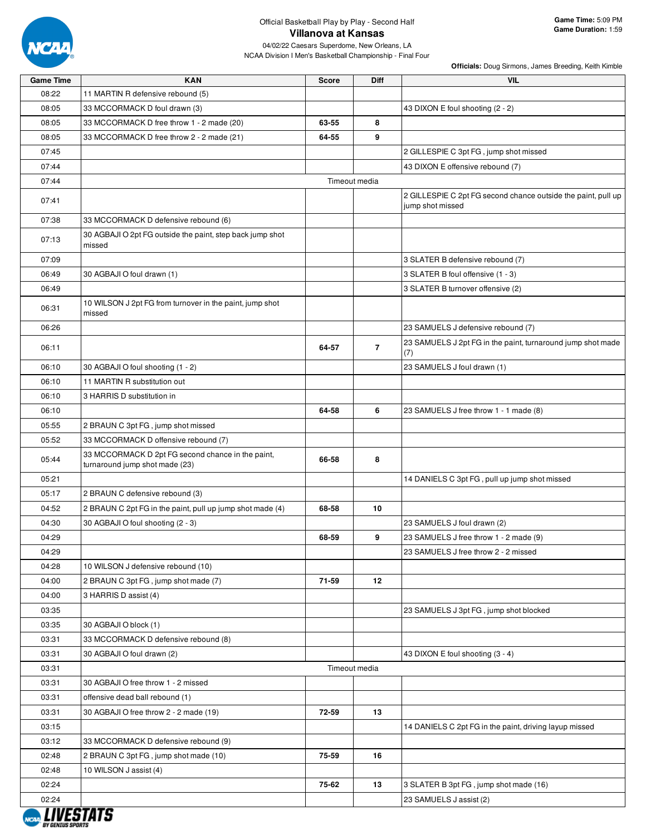

| <b>Game Time</b>               | <b>KAN</b>                                                                          | <b>Score</b> | <b>Diff</b>    | <b>VIL</b>                                                                        |
|--------------------------------|-------------------------------------------------------------------------------------|--------------|----------------|-----------------------------------------------------------------------------------|
| 08:22                          | 11 MARTIN R defensive rebound (5)                                                   |              |                |                                                                                   |
| 08:05                          | 33 MCCORMACK D foul drawn (3)                                                       |              |                | 43 DIXON E foul shooting (2 - 2)                                                  |
| 08:05                          | 33 MCCORMACK D free throw 1 - 2 made (20)                                           | 63-55        | 8              |                                                                                   |
| 08:05                          | 33 MCCORMACK D free throw 2 - 2 made (21)                                           | 64-55        | 9              |                                                                                   |
| 07:45                          |                                                                                     |              |                | 2 GILLESPIE C 3pt FG, jump shot missed                                            |
| 07:44                          |                                                                                     |              |                | 43 DIXON E offensive rebound (7)                                                  |
| 07:44                          |                                                                                     |              | Timeout media  |                                                                                   |
| 07:41                          |                                                                                     |              |                | 2 GILLESPIE C 2pt FG second chance outside the paint, pull up<br>jump shot missed |
| 07:38                          | 33 MCCORMACK D defensive rebound (6)                                                |              |                |                                                                                   |
| 07:13                          | 30 AGBAJI O 2pt FG outside the paint, step back jump shot<br>missed                 |              |                |                                                                                   |
| 07:09                          |                                                                                     |              |                | 3 SLATER B defensive rebound (7)                                                  |
| 06:49                          | 30 AGBAJI O foul drawn (1)                                                          |              |                | 3 SLATER B foul offensive (1 - 3)                                                 |
| 06:49                          |                                                                                     |              |                | 3 SLATER B turnover offensive (2)                                                 |
| 06:31                          | 10 WILSON J 2pt FG from turnover in the paint, jump shot<br>missed                  |              |                |                                                                                   |
| 06:26                          |                                                                                     |              |                | 23 SAMUELS J defensive rebound (7)                                                |
| 06:11                          |                                                                                     | 64-57        | $\overline{7}$ | 23 SAMUELS J 2pt FG in the paint, turnaround jump shot made<br>(7)                |
| 06:10                          | 30 AGBAJI O foul shooting (1 - 2)                                                   |              |                | 23 SAMUELS J foul drawn (1)                                                       |
| 06:10                          | 11 MARTIN R substitution out                                                        |              |                |                                                                                   |
| 06:10                          | 3 HARRIS D substitution in                                                          |              |                |                                                                                   |
| 06:10                          |                                                                                     | 64-58        | 6              | 23 SAMUELS J free throw 1 - 1 made (8)                                            |
| 05:55                          | 2 BRAUN C 3pt FG, jump shot missed                                                  |              |                |                                                                                   |
| 05:52                          | 33 MCCORMACK D offensive rebound (7)                                                |              |                |                                                                                   |
| 05:44                          | 33 MCCORMACK D 2pt FG second chance in the paint,<br>turnaround jump shot made (23) | 66-58        | 8              |                                                                                   |
| 05:21                          |                                                                                     |              |                | 14 DANIELS C 3pt FG, pull up jump shot missed                                     |
| 05:17                          | 2 BRAUN C defensive rebound (3)                                                     |              |                |                                                                                   |
| 04:52                          | 2 BRAUN C 2pt FG in the paint, pull up jump shot made (4)                           | 68-58        | 10             |                                                                                   |
| 04:30                          | 30 AGBAJI O foul shooting (2 - 3)                                                   |              |                | 23 SAMUELS J foul drawn (2)                                                       |
| 04:29                          |                                                                                     | 68-59        | 9              | 23 SAMUELS J free throw 1 - 2 made (9)                                            |
| 04:29                          |                                                                                     |              |                | 23 SAMUELS J free throw 2 - 2 missed                                              |
| 04:28                          | 10 WILSON J defensive rebound (10)                                                  |              |                |                                                                                   |
| 04:00                          | 2 BRAUN C 3pt FG, jump shot made (7)                                                | 71-59        | 12             |                                                                                   |
| 04:00                          | 3 HARRIS D assist (4)                                                               |              |                |                                                                                   |
| 03:35                          |                                                                                     |              |                | 23 SAMUELS J 3pt FG, jump shot blocked                                            |
| 03:35                          | 30 AGBAJI O block (1)                                                               |              |                |                                                                                   |
| 03:31                          | 33 MCCORMACK D defensive rebound (8)                                                |              |                |                                                                                   |
| 03:31                          | 30 AGBAJI O foul drawn (2)                                                          |              |                | 43 DIXON E foul shooting (3 - 4)                                                  |
| 03:31                          |                                                                                     |              | Timeout media  |                                                                                   |
| 03:31                          | 30 AGBAJI O free throw 1 - 2 missed                                                 |              |                |                                                                                   |
| 03:31                          | offensive dead ball rebound (1)                                                     |              |                |                                                                                   |
| 03:31                          | 30 AGBAJI O free throw 2 - 2 made (19)                                              | 72-59        | 13             |                                                                                   |
| 03:15                          |                                                                                     |              |                | 14 DANIELS C 2pt FG in the paint, driving layup missed                            |
| 03:12                          | 33 MCCORMACK D defensive rebound (9)                                                |              |                |                                                                                   |
| 02:48                          | 2 BRAUN C 3pt FG, jump shot made (10)                                               | 75-59        | 16             |                                                                                   |
| 02:48                          | 10 WILSON J assist (4)                                                              |              |                |                                                                                   |
| 02:24                          |                                                                                     | 75-62        | 13             | 3 SLATER B 3pt FG, jump shot made (16)                                            |
| 02:24                          |                                                                                     |              |                | 23 SAMUELS J assist (2)                                                           |
|                                |                                                                                     |              |                |                                                                                   |
| <i><b>RY GENTIIS SPORT</b></i> |                                                                                     |              |                |                                                                                   |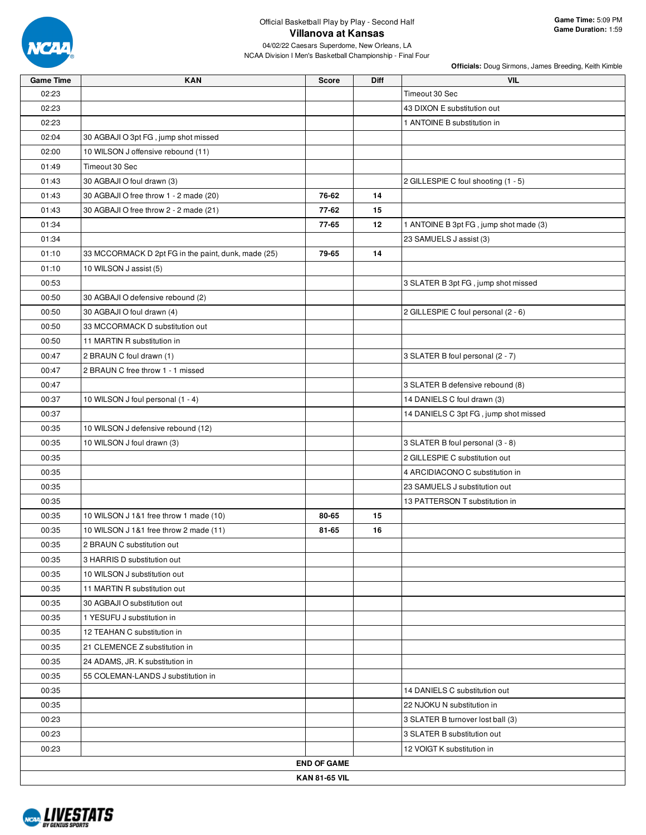

| <b>Game Time</b> | <b>KAN</b>                                          | Score                | <b>Diff</b> | VIL                                    |
|------------------|-----------------------------------------------------|----------------------|-------------|----------------------------------------|
| 02:23            |                                                     |                      |             | Timeout 30 Sec                         |
| 02:23            |                                                     |                      |             | 43 DIXON E substitution out            |
| 02:23            |                                                     |                      |             | 1 ANTOINE B substitution in            |
| 02:04            | 30 AGBAJI O 3pt FG, jump shot missed                |                      |             |                                        |
| 02:00            | 10 WILSON J offensive rebound (11)                  |                      |             |                                        |
| 01:49            | Timeout 30 Sec                                      |                      |             |                                        |
| 01:43            | 30 AGBAJI O foul drawn (3)                          |                      |             | 2 GILLESPIE C foul shooting (1 - 5)    |
| 01:43            | 30 AGBAJI O free throw 1 - 2 made (20)              | 76-62                | 14          |                                        |
| 01:43            | 30 AGBAJI O free throw 2 - 2 made (21)              | 77-62                | 15          |                                        |
| 01:34            |                                                     | 77-65                | 12          | 1 ANTOINE B 3pt FG, jump shot made (3) |
| 01:34            |                                                     |                      |             | 23 SAMUELS J assist (3)                |
| 01:10            | 33 MCCORMACK D 2pt FG in the paint, dunk, made (25) | 79-65                | 14          |                                        |
| 01:10            | 10 WILSON J assist (5)                              |                      |             |                                        |
| 00:53            |                                                     |                      |             | 3 SLATER B 3pt FG, jump shot missed    |
| 00:50            | 30 AGBAJI O defensive rebound (2)                   |                      |             |                                        |
| 00:50            | 30 AGBAJI O foul drawn (4)                          |                      |             | 2 GILLESPIE C foul personal (2 - 6)    |
| 00:50            | 33 MCCORMACK D substitution out                     |                      |             |                                        |
| 00:50            | 11 MARTIN R substitution in                         |                      |             |                                        |
| 00:47            | 2 BRAUN C foul drawn (1)                            |                      |             | 3 SLATER B foul personal (2 - 7)       |
| 00:47            | 2 BRAUN C free throw 1 - 1 missed                   |                      |             |                                        |
| 00:47            |                                                     |                      |             | 3 SLATER B defensive rebound (8)       |
| 00:37            | 10 WILSON J foul personal (1 - 4)                   |                      |             | 14 DANIELS C foul drawn (3)            |
| 00:37            |                                                     |                      |             | 14 DANIELS C 3pt FG, jump shot missed  |
| 00:35            | 10 WILSON J defensive rebound (12)                  |                      |             |                                        |
| 00:35            | 10 WILSON J foul drawn (3)                          |                      |             | 3 SLATER B foul personal (3 - 8)       |
| 00:35            |                                                     |                      |             | 2 GILLESPIE C substitution out         |
| 00:35            |                                                     |                      |             | 4 ARCIDIACONO C substitution in        |
| 00:35            |                                                     |                      |             | 23 SAMUELS J substitution out          |
| 00:35            |                                                     |                      |             | 13 PATTERSON T substitution in         |
| 00:35            | 10 WILSON J 1&1 free throw 1 made (10)              | 80-65                | 15          |                                        |
| 00:35            | 10 WILSON J 1&1 free throw 2 made (11)              | 81-65                | 16          |                                        |
| 00:35            | 2 BRAUN C substitution out                          |                      |             |                                        |
| 00:35            | 3 HARRIS D substitution out                         |                      |             |                                        |
| 00:35            | 10 WILSON J substitution out                        |                      |             |                                        |
| 00:35            | 11 MARTIN R substitution out                        |                      |             |                                        |
| 00:35            | 30 AGBAJI O substitution out                        |                      |             |                                        |
| 00:35            | 1 YESUFU J substitution in                          |                      |             |                                        |
| 00:35            | 12 TEAHAN C substitution in                         |                      |             |                                        |
| 00:35            | 21 CLEMENCE Z substitution in                       |                      |             |                                        |
| 00:35            | 24 ADAMS, JR. K substitution in                     |                      |             |                                        |
| 00:35            | 55 COLEMAN-LANDS J substitution in                  |                      |             |                                        |
| 00:35            |                                                     |                      |             | 14 DANIELS C substitution out          |
| 00:35            |                                                     |                      |             | 22 NJOKU N substitution in             |
| 00:23            |                                                     |                      |             | 3 SLATER B turnover lost ball (3)      |
| 00:23            |                                                     |                      |             | 3 SLATER B substitution out            |
| 00:23            |                                                     |                      |             | 12 VOIGT K substitution in             |
|                  |                                                     | <b>END OF GAME</b>   |             |                                        |
|                  |                                                     | <b>KAN 81-65 VIL</b> |             |                                        |

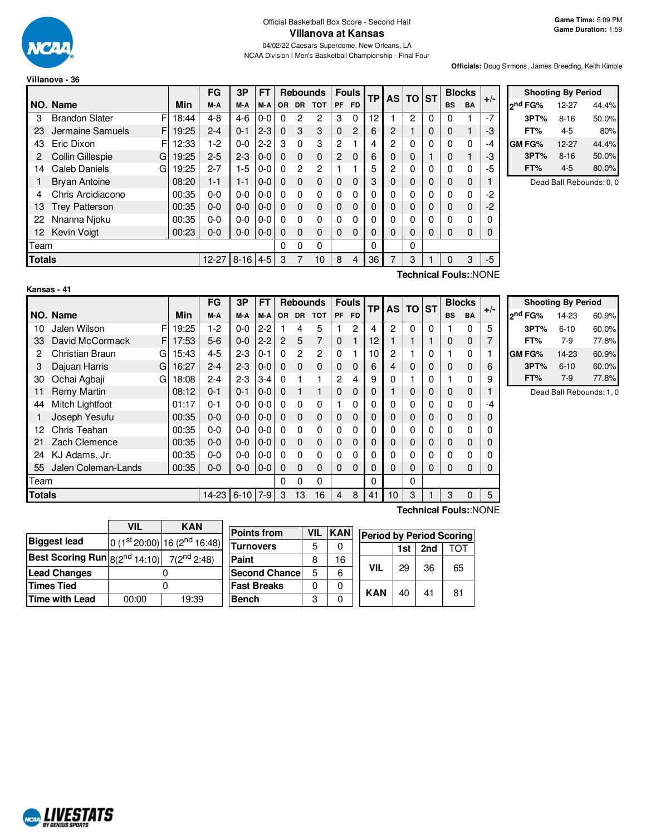

**Game Time:** 5:09 PM **Game Duration:** 1:59

04/02/22 Caesars Superdome, New Orleans, LA NCAA Division I Men's Basketball Championship - Final Four

**Officials:** Doug Sirmons, James Breeding, Keith Kimble

|               |                            |       | FG        | 3P       | FТ      |           |              | <b>Rebounds</b> |          | <b>Fouls</b> | <b>TP</b> | <b>AS</b> | <b>TO</b> | <b>ST</b> | <b>Blocks</b> |                      | $+/-$ |
|---------------|----------------------------|-------|-----------|----------|---------|-----------|--------------|-----------------|----------|--------------|-----------|-----------|-----------|-----------|---------------|----------------------|-------|
|               | NO. Name                   | Min   | M-A       | M-A      | M-A     | <b>OR</b> | <b>DR</b>    | <b>TOT</b>      | PF       | <b>FD</b>    |           |           |           |           | <b>BS</b>     | <b>BA</b>            |       |
| 3             | <b>Brandon Slater</b><br>F | 18:44 | $4 - 8$   | 4-6      | $0-0$   | $\Omega$  | 2            | 2               | 3        | $\Omega$     | 12        |           | 2         | $\Omega$  | 0             |                      | $-7$  |
| 23            | Jermaine Samuels           | 19:25 | $2 - 4$   | $0 - 1$  | $2 - 3$ | $\Omega$  | 3            | 3               | 0        | 2            | 6         | 2         |           | 0         | 0             |                      | -3    |
| 43            | Eric Dixon<br>F            | 12:33 | 1-2       | $0-0$    | $2-2$   | 3         | $\Omega$     | 3               | 2        |              | 4         | 2         | 0         | 0         | 0             | 0                    | -4    |
| 2             | Collin Gillespie<br>G      | 19:25 | $2 - 5$   | $2 - 3$  | $0 - 0$ | $\Omega$  | $\Omega$     | 0               | 2        | $\mathbf 0$  | 6         | 0         | $\Omega$  |           | 0             |                      | -3    |
| 14            | Caleb Daniels<br>G         | 19:25 | $2 - 7$   | $1-5$    | $0 - 0$ | $\Omega$  | $\mathbf{2}$ | 2               |          |              | 5         | 2         | 0         | 0         | 0             | 0                    | -5    |
|               | <b>Bryan Antoine</b>       | 08:20 | $1 - 1$   | $1 - 1$  | $0-0$   | $\Omega$  | $\Omega$     | 0               | 0        | $\Omega$     | 3         | 0         | $\Omega$  | 0         | $\mathbf 0$   | 0                    |       |
| 4             | Chris Arcidiacono          | 00:35 | $0 - 0$   | $0 - 0$  | $0-0$   | $\Omega$  | 0            | 0               | 0        | 0            | 0         | 0         | 0         | 0         | 0             | 0                    | -2    |
| 13            | <b>Trey Patterson</b>      | 00:35 | $0 - 0$   | $0 - 0$  | $0-0$   | $\Omega$  | $\Omega$     | 0               | 0        | $\Omega$     | 0         | 0         | $\Omega$  | 0         | 0             | $\mathbf 0$          | -2    |
| 22            | Nnanna Njoku               | 00:35 | $0 - 0$   | $0 - 0$  | $0-0$   | $\Omega$  | 0            | 0               | 0        | 0            | 0         | 0         | 0         | 0         | 0             | 0                    |       |
| 12            | <b>Kevin Voigt</b>         | 00:23 | $0 - 0$   | $0 - 0$  | $0 - 0$ | $\Omega$  | $\Omega$     | 0               | $\Omega$ | $\Omega$     | 0         | $\Omega$  | $\Omega$  | 0         | 0             | 0                    |       |
| Team          |                            |       |           |          |         | 0         | 0            | 0               |          |              | $\Omega$  |           | 0         |           |               |                      |       |
| <b>Totals</b> |                            |       | $12 - 27$ | $8 - 16$ | $4 - 5$ | 3         |              | 10              | 8        | 4            | 36        | 7         | 3         |           | 0             | 3                    | $-5$  |
|               |                            |       |           |          |         |           |              |                 |          |              |           |           |           |           |               | Toobnical FoulouNONE |       |

| <b>Shooting By Period</b> |          |       |  |  |  |  |  |  |  |  |
|---------------------------|----------|-------|--|--|--|--|--|--|--|--|
| ond FG%                   | 12-27    | 44.4% |  |  |  |  |  |  |  |  |
| 3PT%                      | $8 - 16$ | 50.0% |  |  |  |  |  |  |  |  |
| FT%                       | 4-5      | 80%   |  |  |  |  |  |  |  |  |
| <b>GM FG%</b>             | 12-27    | 44.4% |  |  |  |  |  |  |  |  |
| 3PT%                      | $8 - 16$ | 50.0% |  |  |  |  |  |  |  |  |
| FT%                       | $4 - 5$  | 80.0% |  |  |  |  |  |  |  |  |

Dead Ball Rebounds: 0, 0

| Kans |  |
|------|--|
|      |  |

**Technical Fouls:**:NONE

|               |                     |   |       | FG        | 3P       | FT      |                                      | <b>Rebounds</b> |                 |          | <b>Fouls</b> | ТP | <b>AS</b> | <b>TO</b> | <b>ST</b> |    | <b>Blocks</b> | $+/-$ |
|---------------|---------------------|---|-------|-----------|----------|---------|--------------------------------------|-----------------|-----------------|----------|--------------|----|-----------|-----------|-----------|----|---------------|-------|
|               | NO. Name            |   | Min   | M-A       | M-A      | M-A     | <b>DR</b><br><b>TOT</b><br><b>OR</b> |                 | <b>FD</b><br>PF |          |              |    |           |           | <b>BS</b> | BA |               |       |
| 10            | Jalen Wilson        | F | 19:25 | $1-2$     | $0 - 0$  | $2 - 2$ |                                      | 4               | 5               |          | 2            | 4  | 2         | 0         | 0         |    | 0             | 5     |
| 33            | David McCormack     | F | 17:53 | $5-6$     | $0 - 0$  | $2 - 2$ | 2                                    | 5               | 7               | $\Omega$ | 1            | 12 |           |           |           | 0  | 0             | 7     |
| 2             | Christian Braun     | G | 15:43 | $4 - 5$   | $2-3$    | $0 - 1$ | $\Omega$                             | $\overline{c}$  | 2               | 0        |              | 10 | 2         |           | 0         |    | 0             |       |
| 3             | Dajuan Harris       | G | 16:27 | $2 - 4$   | $2 - 3$  | $0 - 0$ | $\Omega$                             | $\Omega$        | $\Omega$        | 0        | $\Omega$     | 6  | 4         | 0         | 0         | 0  | 0             | 6     |
| 30            | Ochai Agbaji        | G | 18:08 | $2 - 4$   | $2-3$    | $3 - 4$ | 0                                    |                 |                 | 2        | 4            | 9  | 0         |           | 0         |    | 0             | 9     |
| 11            | <b>Remy Martin</b>  |   | 08:12 | $0 - 1$   | $0 - 1$  | $0 - 0$ | $\Omega$                             |                 | 1               | 0        | $\Omega$     | 0  |           | 0         | 0         | 0  | 0             |       |
| 44            | Mitch Lightfoot     |   | 01:17 | $0 - 1$   | $0 - 0$  | $0 - 0$ | 0                                    | $\Omega$        | $\Omega$        |          | $\Omega$     | 0  | 0         | 0         | 0         | 0  | 0             | -4    |
|               | Joseph Yesufu       |   | 00:35 | $0 - 0$   | $0 - 0$  | $0 - 0$ | $\Omega$                             | $\Omega$        | $\Omega$        | 0        | $\Omega$     | 0  | 0         | 0         | 0         | 0  | 0             | 0     |
| 12            | Chris Teahan        |   | 00:35 | $0 - 0$   | $0 - 0$  | $0 - 0$ | 0                                    | $\Omega$        | 0               | 0        | 0            | 0  | 0         | 0         | 0         | 0  | 0             | 0     |
| 21            | Zach Clemence       |   | 00:35 | $0 - 0$   | $0 - 0$  | $0 - 0$ | $\Omega$                             | $\Omega$        | $\Omega$        | $\Omega$ | $\Omega$     | 0  | 0         | 0         | 0         | 0  | 0             | 0     |
| 24            | KJ Adams, Jr.       |   | 00:35 | $0 - 0$   | $0 - 0$  | $0 - 0$ | $\Omega$                             | $\Omega$        | $\Omega$        | 0        | $\Omega$     | 0  | 0         | 0         | 0         | 0  | 0             | 0     |
| 55            | Jalen Coleman-Lands |   | 00:35 | $0-0$     | $0 - 0$  | $0 - 0$ | $\Omega$                             | $\Omega$        | $\Omega$        | $\Omega$ | $\Omega$     | 0  | 0         | 0         | 0         | 0  | 0             | 0     |
| Team          |                     |   |       |           |          |         | 0                                    | 0               | $\Omega$        |          |              | 0  |           | 0         |           |    |               |       |
| <b>Totals</b> |                     |   |       | $14 - 23$ | $6 - 10$ | $7 - 9$ | 3                                    | 13              | 16              | 4        | 8            | 41 | 10        | 3         |           | 3  |               | 5     |

|                     | <b>Shooting By Period</b> |       |
|---------------------|---------------------------|-------|
| 2 <sup>nd</sup> FG% | 14-23                     | 60.9% |
| 3PT%                | $6 - 10$                  | 60.0% |
| FT%                 | 7-9                       | 77.8% |
| <b>GM FG%</b>       | 14-23                     | 60.9% |
| 3PT%                | $6 - 10$                  | 60.0% |
| FT%                 | $7-9$                     | 77.8% |

Dead Ball Rebounds: 1, 0

|                                                                     | <b>VIL</b> | <b>KAN</b>                 |                      |            |            |                                 |     |     |     |
|---------------------------------------------------------------------|------------|----------------------------|----------------------|------------|------------|---------------------------------|-----|-----|-----|
|                                                                     |            |                            | <b>Points from</b>   | <b>VIL</b> | <b>KAN</b> | <b>Period by Period Scoring</b> |     |     |     |
| <b>Biggest lead</b>                                                 |            | $0(1st20:00) 16(2nd16:48)$ | <b>Turnovers</b>     | 5          | 0          |                                 | 1st | 2nd | TOT |
| <b>Best Scoring Run</b> $ 8(2^{nd} 14:10) $ 7(2 <sup>nd</sup> 2:48) |            |                            | <b>Paint</b>         | 8          | 16         |                                 |     |     |     |
| <b>Lead Changes</b>                                                 |            |                            | <b>Second Chance</b> | 5          | 6          | <b>VIL</b>                      | 29  | 36  | 65  |
| <b>Times Tied</b>                                                   |            |                            | <b>Fast Breaks</b>   | 0          | 0          | <b>KAN</b>                      |     | 41  |     |
| <b>Time with Lead</b>                                               | 00:00      | 19:39                      | <b>Bench</b>         | 3          |            |                                 | 40  |     | 81  |
|                                                                     |            |                            |                      |            |            |                                 |     |     |     |

**Technical Fouls:**:NONE

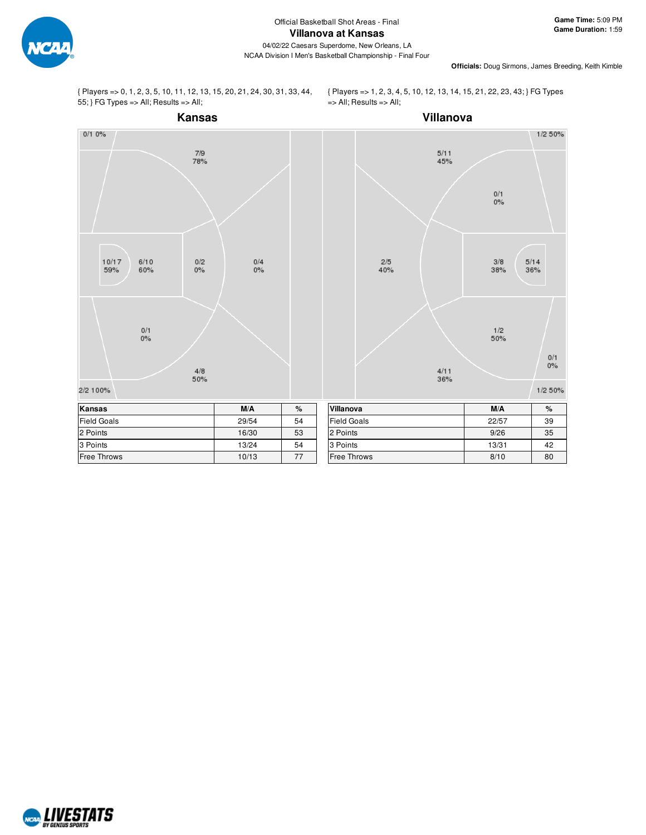

**Officials:** Doug Sirmons, James Breeding, Keith Kimble

{ Players => 0, 1, 2, 3, 5, 10, 11, 12, 13, 15, 20, 21, 24, 30, 31, 33, 44, 55; } FG Types => All; Results => All;

{ Players => 1, 2, 3, 4, 5, 10, 12, 13, 14, 15, 21, 22, 23, 43; } FG Types => All; Results => All;



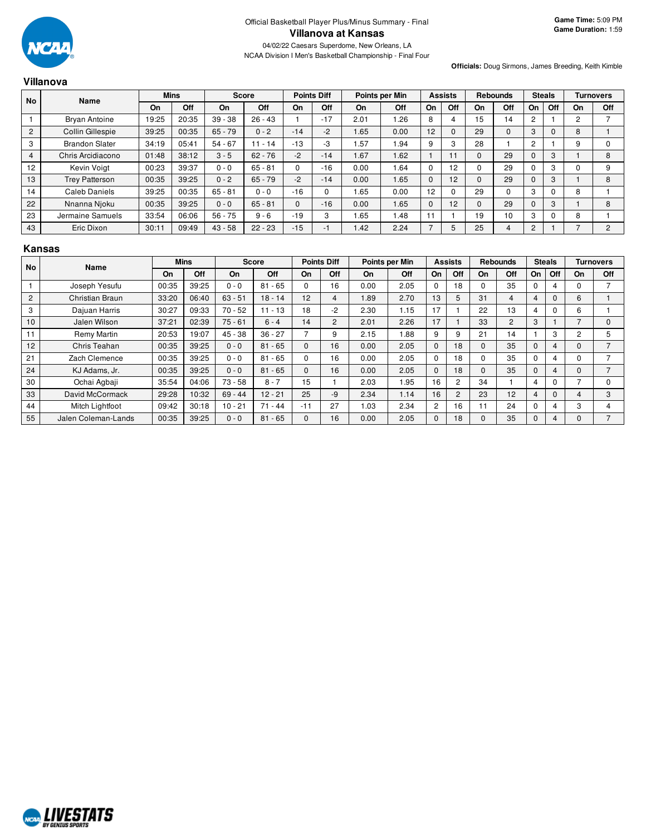

#### **Officials:** Doug Sirmons, James Breeding, Keith Kimble

|                | Villanova               |       |             |           |              |              |                    |      |                |          |                |          |                 |                |               |    |                  |
|----------------|-------------------------|-------|-------------|-----------|--------------|--------------|--------------------|------|----------------|----------|----------------|----------|-----------------|----------------|---------------|----|------------------|
| No             | Name                    |       | <b>Mins</b> |           | <b>Score</b> |              | <b>Points Diff</b> |      | Points per Min |          | <b>Assists</b> |          | <b>Rebounds</b> |                | <b>Steals</b> |    | <b>Turnovers</b> |
|                |                         | On    | Off         | On        | Off          | On           | Off                | On   | Off            | On       | Off            | On       | Off             | On             | Off           | On | Off              |
|                | <b>Bryan Antoine</b>    | 19:25 | 20:35       | $39 - 38$ | $26 - 43$    |              | $-17$              | 2.01 | .26            | 8        | 4              | 15       | 14              | $\overline{c}$ |               | 2  |                  |
| $\overline{2}$ | <b>Collin Gillespie</b> | 39:25 | 00:35       | $65 - 79$ | $0 - 2$      | $-14$        | $-2$               | 1.65 | 0.00           | 12       | $\Omega$       | 29       | $\mathbf{0}$    | 3              |               | 8  |                  |
| 3              | <b>Brandon Slater</b>   | 34:19 | 05:41       | $54 - 67$ | $11 - 14$    | $-13$        | -3                 | .57  | 1.94           | 9        | 3              | 28       |                 | 2              |               | 9  | $\Omega$         |
| $\overline{4}$ | Chris Arcidiacono       | 01:48 | 38:12       | $3 - 5$   | $62 - 76$    | $-2$         | $-14$              | .67  | 1.62           |          | 11             | $\Omega$ | 29              | $\mathbf 0$    | 3             |    | 8                |
| 12             | Kevin Voigt             | 00:23 | 39:37       | $0 - 0$   | $65 - 81$    | $\Omega$     | $-16$              | 0.00 | 1.64           | 0        | 12             | 0        | 29              | $\Omega$       | 3             |    | 9                |
| 13             | <b>Trey Patterson</b>   | 00:35 | 39:25       | $0 - 2$   | $65 - 79$    | $-2$         | $-14$              | 0.00 | 1.65           | $\Omega$ | 12             | $\Omega$ | 29              | $\Omega$       | 3             |    | 8                |
| 14             | Caleb Daniels           | 39:25 | 00:35       | $65 - 81$ | $0 - 0$      | $-16$        |                    | 1.65 | 0.00           | 12       | $\Omega$       | 29       | $\mathbf 0$     | 3              |               | 8  |                  |
| 22             | Nnanna Njoku            | 00:35 | 39:25       | $0 - 0$   | $65 - 81$    | $\mathbf{0}$ | $-16$              | 0.00 | 1.65           | 0        | 12             | 0        | 29              | 0              | 3             |    | 8                |
| 23             | Jermaine Samuels        | 33:54 | 06:06       | $56 - 75$ | $9 - 6$      | $-19$        | 3                  | 1.65 | 1.48           |          |                | 19       | 10              | 3              | 0             | 8  |                  |
| 43             | Eric Dixon              | 30:11 | 09:49       | $43 - 58$ | $22 - 23$    | $-15$        | -1                 | 1.42 | 2.24           | ⇁        | 5              | 25       | 4               | $\overline{2}$ |               |    | 2                |

#### **Kansas**

| <b>No</b>      | Name                | <b>Mins</b><br><b>Score</b> |       |           |           | <b>Points Diff</b> |                | Points per Min |      | <b>Assists</b> |                | <b>Rebounds</b> |                | <b>Steals</b> |          | <b>Turnovers</b> |                          |
|----------------|---------------------|-----------------------------|-------|-----------|-----------|--------------------|----------------|----------------|------|----------------|----------------|-----------------|----------------|---------------|----------|------------------|--------------------------|
|                |                     | On                          | Off   | On        | Off       | On                 | Off            | On             | Off  | On             | Off            | On              | Off            | <b>On</b>     | Off      | On               | Off                      |
|                | Joseph Yesufu       | 00:35                       | 39:25 | $0 - 0$   | $81 - 65$ | $\Omega$           | 16             | 0.00           | 2.05 | $\Omega$       | 18             | $\Omega$        | 35             | $\Omega$      | 4        | 0                |                          |
| $\overline{2}$ | Christian Braun     | 33:20                       | 06:40 | $63 - 51$ | $18 - 14$ | 12                 | 4              | 1.89           | 2.70 | 13             | 5              | 31              | 4              | 4             | $\Omega$ | 6                |                          |
| 3              | Dajuan Harris       | 30:27                       | 09:33 | $70 - 52$ | $11 - 13$ | 18                 | $-2$           | 2.30           | 1.15 | 17             |                | 22              | 13             | 4             | $\Omega$ | 6                |                          |
| 10             | Jalen Wilson        | 37:21                       | 02:39 | $75 - 61$ | $6 - 4$   | 14                 | $\overline{c}$ | 2.01           | 2.26 | 17             |                | 33              | $\overline{2}$ | 3             |          |                  | $\Omega$                 |
| 11             | Remy Martin         | 20:53                       | 19:07 | $45 - 38$ | $36 - 27$ |                    | 9              | 2.15           | 1.88 | 9              | 9              | 21              | 14             |               | 3        | $\overline{2}$   | 5                        |
| 12             | Chris Teahan        | 00:35                       | 39:25 | $0 - 0$   | $81 - 65$ | $\Omega$           | 16             | 0.00           | 2.05 | $\Omega$       | 18             | $\Omega$        | 35             | $\Omega$      | 4        | $\Omega$         | $\overline{\phantom{0}}$ |
| 21             | Zach Clemence       | 00:35                       | 39:25 | $0 - 0$   | $81 - 65$ | $\Omega$           | 16             | 0.00           | 2.05 | $\Omega$       | 18             | $\Omega$        | 35             | $\Omega$      | 4        |                  | ⇁                        |
| 24             | KJ Adams, Jr.       | 00:35                       | 39:25 | $0 - 0$   | $81 - 65$ | $\Omega$           | 16             | 0.00           | 2.05 | $\Omega$       | 18             | $\Omega$        | 35             | $\Omega$      | 4        | $\Omega$         | $\overline{\phantom{0}}$ |
| 30             | Ochai Agbaji        | 35:54                       | 04:06 | $73 - 58$ | $8 - 7$   | 15                 |                | 2.03           | 1.95 | 16             | $\overline{c}$ | 34              |                | 4             | $\Omega$ |                  | $\Omega$                 |
| 33             | David McCormack     | 29:28                       | 10:32 | $69 - 44$ | $12 - 21$ | 25                 | $-9$           | 2.34           | 1.14 | 16             | $\overline{2}$ | 23              | 12             | 4             | $\Omega$ |                  | 3                        |
| 44             | Mitch Lightfoot     | 09:42                       | 30:18 | $10 - 21$ | $71 - 44$ | $-11$              | 27             | 1.03           | 2.34 | 2              | 16             | 11              | 24             | $\Omega$      | 4        | 3                | 4                        |
| 55             | Jalen Coleman-Lands | 00:35                       | 39:25 | $0 - 0$   | $81 - 65$ | $\Omega$           | 16             | 0.00           | 2.05 | $\mathbf{0}$   | 18             | $\Omega$        | 35             | $\mathbf 0$   | 4        | $\Omega$         | $\overline{\phantom{0}}$ |

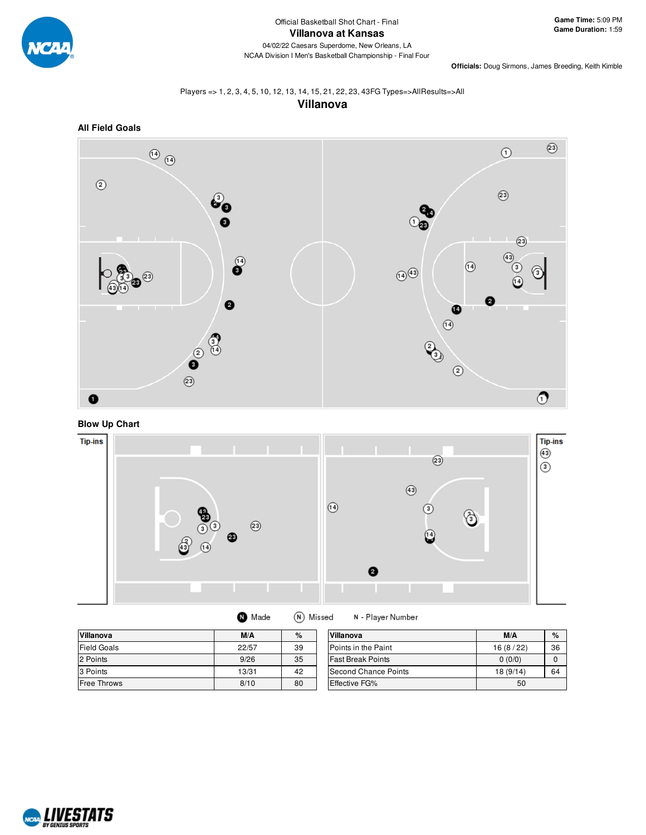

**Officials:** Doug Sirmons, James Breeding, Keith Kimble

# Players => 1, 2, 3, 4, 5, 10, 12, 13, 14, 15, 21, 22, 23, 43FG Types=>AllResults=>All

**Villanova**



**Blow Up Chart**



| <b>Villanova</b>   | M/A   | $\%$ | Villanova                   | M/A       | $\%$ |
|--------------------|-------|------|-----------------------------|-----------|------|
| <b>Field Goals</b> | 22/57 | 39   | Points in the Paint         | 16(8/22)  | 36   |
| 2 Points           | 9/26  | 35   | <b>Fast Break Points</b>    | 0(0/0)    |      |
| 3 Points           | 13/31 | 42   | <b>Second Chance Points</b> | 18 (9/14) | 64   |
| <b>Free Throws</b> | 8/10  | 80   | Effective FG%               | 50        |      |

(N) Missed

N - Player Number

**O** Made

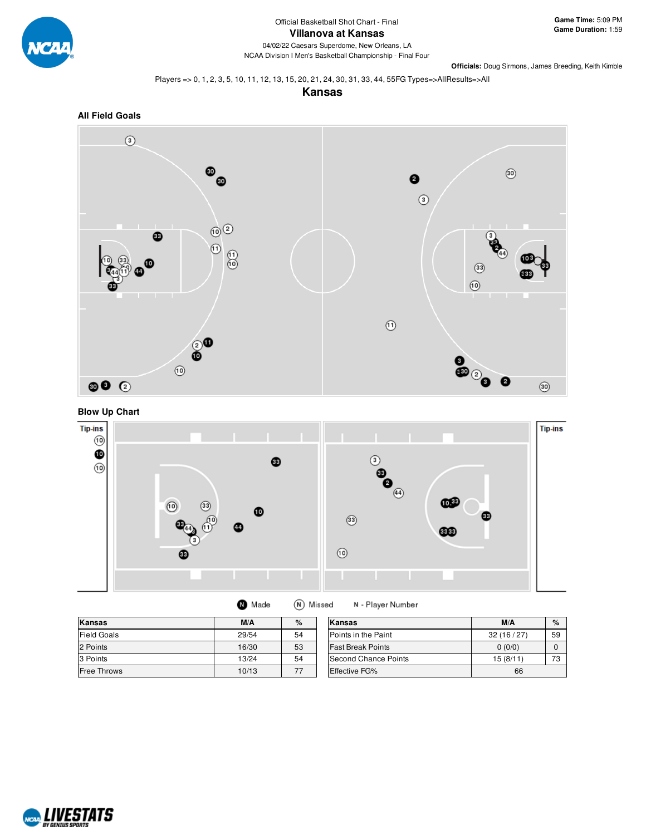

NCAA Division I Men's Basketball Championship - Final Four

**Officials:** Doug Sirmons, James Breeding, Keith Kimble

Players => 0, 1, 2, 3, 5, 10, 11, 12, 13, 15, 20, 21, 24, 30, 31, 33, 44, 55FG Types=>AllResults=>All

**Kansas**







| <b>O</b> Made | (N) Missed | N - Player Number |
|---------------|------------|-------------------|
|---------------|------------|-------------------|

| Kansas             | M/A   | $\%$ | Kansas                      | M/A       | $\%$      |
|--------------------|-------|------|-----------------------------|-----------|-----------|
| <b>Field Goals</b> | 29/54 | 54   | <b>IPoints in the Paint</b> | 32(16/27) | 59        |
| 2 Points           | 16/30 | 53   | <b>Fast Break Points</b>    | 0(0/0)    |           |
| 3 Points           | 13/24 | 54   | Second Chance Points        | 15(8/11)  | 70<br>د ، |
| Free Throws        | 10/13 | 77   | <b>Effective FG%</b>        | 66        |           |

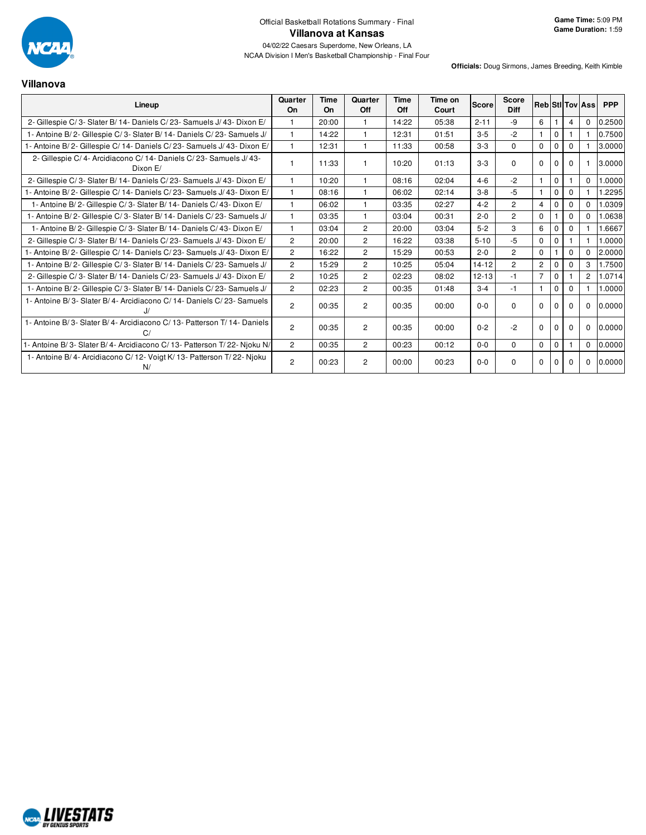

NCAA Division I Men's Basketball Championship - Final Four

**Villanova**

| Lineup                                                                      | Quarter<br>On  | Time<br>On | Quarter<br>Off | Time<br>Off | Time on<br>Court | Score     | <b>Score</b><br><b>Diff</b> |                |              |          | <b>RebiStilTov Ass</b> | <b>PPP</b> |
|-----------------------------------------------------------------------------|----------------|------------|----------------|-------------|------------------|-----------|-----------------------------|----------------|--------------|----------|------------------------|------------|
| 2- Gillespie C/3- Slater B/14- Daniels C/23- Samuels J/43- Dixon E/         | $\mathbf{1}$   | 20:00      | $\mathbf{1}$   | 14:22       | 05:38            | $2 - 11$  | -9                          | 6              |              | 4        | $\mathbf 0$            | 0.2500     |
| 1- Antoine B/2- Gillespie C/3- Slater B/14- Daniels C/23- Samuels J/        | $\mathbf{1}$   | 14:22      | $\mathbf{1}$   | 12:31       | 01:51            | $3 - 5$   | $-2$                        | $\mathbf{1}$   | $\mathbf{0}$ |          |                        | 0.7500     |
| l - Antoine B/ 2- Gillespie C/ 14- Daniels C/ 23- Samuels J/ 43- Dixon E/   | $\mathbf{1}$   | 12:31      | $\mathbf{1}$   | 11:33       | 00:58            | $3-3$     | $\Omega$                    | $\mathbf 0$    | $\Omega$     | $\Omega$ |                        | 3.0000     |
| 2- Gillespie C/4- Arcidiacono C/14- Daniels C/23- Samuels J/43-<br>Dixon E/ |                | 11:33      | $\mathbf{1}$   | 10:20       | 01:13            | $3 - 3$   | 0                           | $\Omega$       | $\Omega$     | $\Omega$ |                        | 3.0000     |
| 2- Gillespie C/3- Slater B/14- Daniels C/23- Samuels J/43- Dixon E/         |                | 10:20      | $\mathbf{1}$   | 08:16       | 02:04            | $4 - 6$   | $-2$                        | $\overline{1}$ | $\mathbf 0$  |          | $\Omega$               | 0000.1     |
| I - Antoine B/ 2- Gillespie C/ 14- Daniels C/ 23- Samuels J/ 43- Dixon E/   | $\mathbf{1}$   | 08:16      | $\mathbf 1$    | 06:02       | 02:14            | $3 - 8$   | $-5$                        | $\mathbf{1}$   | $\Omega$     | $\Omega$ |                        | .2295      |
| 1- Antoine B/2- Gillespie C/3- Slater B/14- Daniels C/43- Dixon E/          |                | 06:02      | $\mathbf{1}$   | 03:35       | 02:27            | $4 - 2$   | $\overline{2}$              | $\overline{4}$ | $\mathbf 0$  | $\Omega$ | $\mathbf 0$            | 1.0309     |
| 1- Antoine B/2- Gillespie C/3- Slater B/14- Daniels C/23- Samuels J/        | $\mathbf{1}$   | 03:35      | $\mathbf{1}$   | 03:04       | 00:31            | $2 - 0$   | $\overline{2}$              | $\Omega$       |              | $\Omega$ | $\Omega$               | 1.0638     |
| 1- Antoine B/2- Gillespie C/3- Slater B/14- Daniels C/43- Dixon E/          | $\mathbf{1}$   | 03:04      | $\overline{2}$ | 20:00       | 03:04            | $5 - 2$   | 3                           | 6              | $\mathbf 0$  | 0        |                        | 1.6667     |
| 2- Gillespie C/3- Slater B/14- Daniels C/23- Samuels J/43- Dixon E/         | $\overline{c}$ | 20:00      | $\overline{2}$ | 16:22       | 03:38            | $5 - 10$  | $-5$                        | $\mathbf 0$    | $\mathbf{0}$ |          |                        | 1.0000     |
| I - Antoine B/ 2- Gillespie C/ 14- Daniels C/ 23- Samuels J/ 43- Dixon E/   | $\overline{c}$ | 16:22      | $\overline{2}$ | 15:29       | 00:53            | $2 - 0$   | 2                           | $\mathbf 0$    |              | $\Omega$ | $\Omega$               | 2.0000     |
| 1- Antoine B/2- Gillespie C/3- Slater B/14- Daniels C/23- Samuels J/        | $\overline{2}$ | 15:29      | $\overline{2}$ | 10:25       | 05:04            | $14 - 12$ | $\overline{2}$              | $\overline{2}$ | $\Omega$     | $\Omega$ | 3                      | 1.7500     |
| 2- Gillespie C/3- Slater B/14- Daniels C/23- Samuels J/43- Dixon E/         | $\overline{2}$ | 10:25      | $\overline{2}$ | 02:23       | 08:02            | $12 - 13$ | $-1$                        | $\overline{7}$ | $\mathbf{0}$ |          | $\overline{2}$         | 1.0714     |
| 1- Antoine B/2- Gillespie C/3- Slater B/14- Daniels C/23- Samuels J/        | $\overline{2}$ | 02:23      | $\overline{2}$ | 00:35       | 01:48            | $3 - 4$   | $-1$                        | $\mathbf{1}$   | $\mathbf 0$  | $\Omega$ |                        | 1.0000     |
| 1- Antoine B/3- Slater B/4- Arcidiacono C/14- Daniels C/23- Samuels         | $\overline{2}$ | 00:35      | $\overline{2}$ | 00:35       | 00:00            | $0 - 0$   | 0                           | $\Omega$       | $\Omega$     | 0        | $\mathbf 0$            | 0.0000     |
| 1- Antoine B/3- Slater B/4- Arcidiacono C/13- Patterson T/14- Daniels<br>C  | $\overline{c}$ | 00:35      | $\overline{2}$ | 00:35       | 00:00            | $0 - 2$   | $-2$                        | $\Omega$       | $\Omega$     | $\Omega$ | $\Omega$               | 0.0000     |
| 1- Antoine B/3- Slater B/4- Arcidiacono C/13- Patterson T/22- Njoku N/      | $\overline{2}$ | 00:35      | $\overline{2}$ | 00:23       | 00:12            | $0 - 0$   | 0                           | $\mathbf 0$    | $\mathbf 0$  |          | $\Omega$               | 0.0000     |
| 1- Antoine B/4- Arcidiacono C/12- Voigt K/13- Patterson T/22- Njoku<br>N/   | $\overline{2}$ | 00:23      | $\overline{2}$ | 00:00       | 00:23            | $0 - 0$   | 0                           | $\Omega$       | $\Omega$     | 0        | $\mathbf 0$            | 0.0000     |

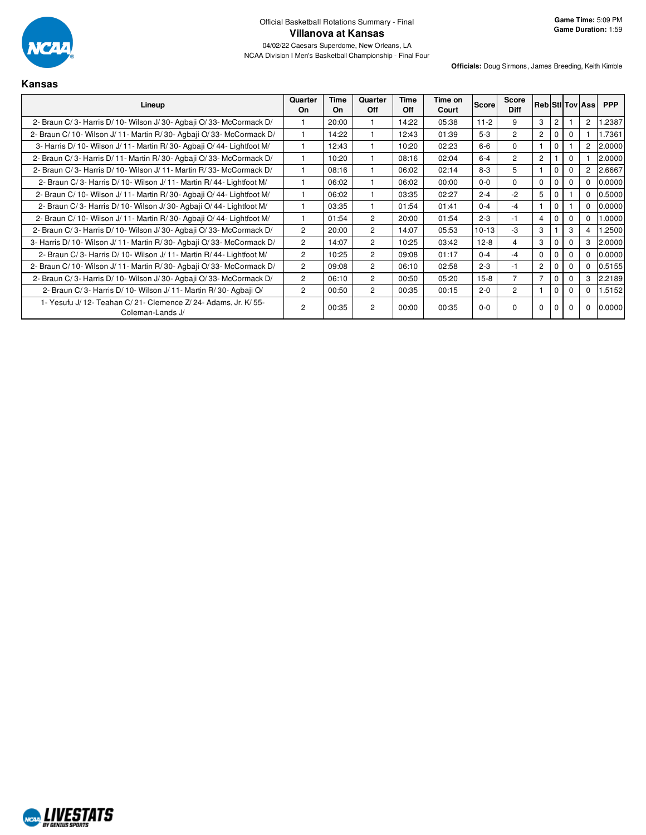

**Game Time:** 5:09 PM **Game Duration:** 1:59

NCAA Division I Men's Basketball Championship - Final Four

| Kansa |  |
|-------|--|
|       |  |

| Lineup                                                                               | Quarter<br>On  | Time<br>On | Quarter<br><b>Off</b> | Time<br>Off | Time on<br>Court | <b>Score</b> | <b>Score</b><br><b>Diff</b> |                |                |          | <b>Reb Stillov Assi</b> | <b>PPP</b> |
|--------------------------------------------------------------------------------------|----------------|------------|-----------------------|-------------|------------------|--------------|-----------------------------|----------------|----------------|----------|-------------------------|------------|
| 2- Braun C/3- Harris D/10- Wilson J/30- Agbaji O/33- McCormack D/                    |                | 20:00      |                       | 14:22       | 05:38            | $11-2$       | 9                           | 3              | $\overline{2}$ |          | 2                       | .2387      |
| 2- Braun C/10- Wilson J/11- Martin R/30- Agbaji O/33- McCormack D/                   |                | 14:22      |                       | 12:43       | 01:39            | $5-3$        | $\overline{2}$              | $\overline{2}$ | 0              | $\Omega$ |                         | 1.7361     |
| 3- Harris D/ 10- Wilson J/ 11- Martin R/ 30- Agbaii O/ 44- Lightfoot M/              |                | 12:43      |                       | 10:20       | 02:23            | $6 - 6$      | 0                           |                | $\mathbf{0}$   |          | $\overline{2}$          | 2.0000     |
| 2- Braun C/3- Harris D/11- Martin R/30- Agbaji O/33- McCormack D/                    |                | 10:20      |                       | 08:16       | 02:04            | $6 - 4$      | $\overline{c}$              | $\overline{2}$ |                | $\Omega$ |                         | 2.0000     |
| 2- Braun C/3- Harris D/10- Wilson J/11- Martin R/33- McCormack D/                    |                | 08:16      |                       | 06:02       | 02:14            | $8 - 3$      | 5                           |                | $\mathbf 0$    | $\Omega$ | $\overline{2}$          | 2.6667     |
| 2- Braun C/3- Harris D/10- Wilson J/11- Martin R/44- Lightfoot M/                    |                | 06:02      |                       | 06:02       | 00:00            | $0 - 0$      | 0                           | $\Omega$       | $\mathbf 0$    | 0        | $\Omega$                | 0.0000     |
| 2- Braun C/ 10- Wilson J/ 11- Martin R/ 30- Agbaji O/ 44- Lightfoot M/               |                | 06:02      |                       | 03:35       | 02:27            | $2 - 4$      | $-2$                        | 5              | 0              |          | $\Omega$                | 0.5000     |
| 2- Braun C/3- Harris D/10- Wilson J/30- Agbaii O/44- Lightfoot M/                    |                | 03:35      |                       | 01:54       | 01:41            | $0 - 4$      | $-4$                        |                | $\mathbf{0}$   |          | $\Omega$                | 0.0000     |
| 2- Braun C/ 10- Wilson J/ 11- Martin R/ 30- Agbaji O/ 44- Lightfoot M/               |                | 01:54      | 2                     | 20:00       | 01:54            | $2 - 3$      | $-1$                        | 4              | $\mathbf 0$    | $\Omega$ | $\mathbf 0$             | 1.0000     |
| 2- Braun C/3- Harris D/10- Wilson J/30- Agbaji O/33- McCormack D/                    | $\overline{c}$ | 20:00      | $\overline{c}$        | 14:07       | 05:53            | $10 - 13$    | $-3$                        | 3              |                | 3        | 4                       | .2500      |
| 3- Harris D/10- Wilson J/11- Martin R/30- Agbaji O/33- McCormack D/                  | $\overline{c}$ | 14:07      | $\overline{c}$        | 10:25       | 03:42            | $12-8$       | 4                           | 3              | 0              | $\Omega$ | 3                       | 2.0000     |
| 2- Braun C/3- Harris D/10- Wilson J/11- Martin R/44- Lightfoot M/                    | $\overline{c}$ | 10:25      | $\overline{2}$        | 09:08       | 01:17            | $0 - 4$      | $-4$                        | $\mathbf 0$    | $\mathbf{0}$   | $\Omega$ | $^{\circ}$              | 0.0000     |
| 2- Braun C/10- Wilson J/11- Martin R/30- Agbaji O/33- McCormack D/                   | $\overline{c}$ | 09:08      | $\overline{2}$        | 06:10       | 02:58            | $2 - 3$      | $-1$                        | $\overline{c}$ | $\mathbf 0$    | $\Omega$ | $^{\circ}$              | 0.5155     |
| 2- Braun C/3- Harris D/10- Wilson J/30- Agbaji O/33- McCormack D/                    | 2              | 06:10      | $\overline{2}$        | 00:50       | 05:20            | $15-8$       | $\overline{7}$              | $\overline{7}$ | $\mathbf 0$    | 0        | 3                       | 2.2189     |
| 2- Braun C/3- Harris D/10- Wilson J/11- Martin R/30- Agbaji O/                       | $\overline{2}$ | 00:50      | $\overline{2}$        | 00:35       | 00:15            | $2 - 0$      | $\overline{2}$              |                | $\mathbf 0$    | 0        | $^{\circ}$              | 1.5152     |
| 1- Yesufu J/ 12- Teahan C/ 21- Clemence Z/ 24- Adams, Jr. K/ 55-<br>Coleman-Lands J/ | $\overline{2}$ | 00:35      | $\overline{2}$        | 00:00       | 00:35            | $0 - 0$      | 0                           | $\mathbf 0$    |                | 0        | $\mathbf 0$             | 0.0000     |

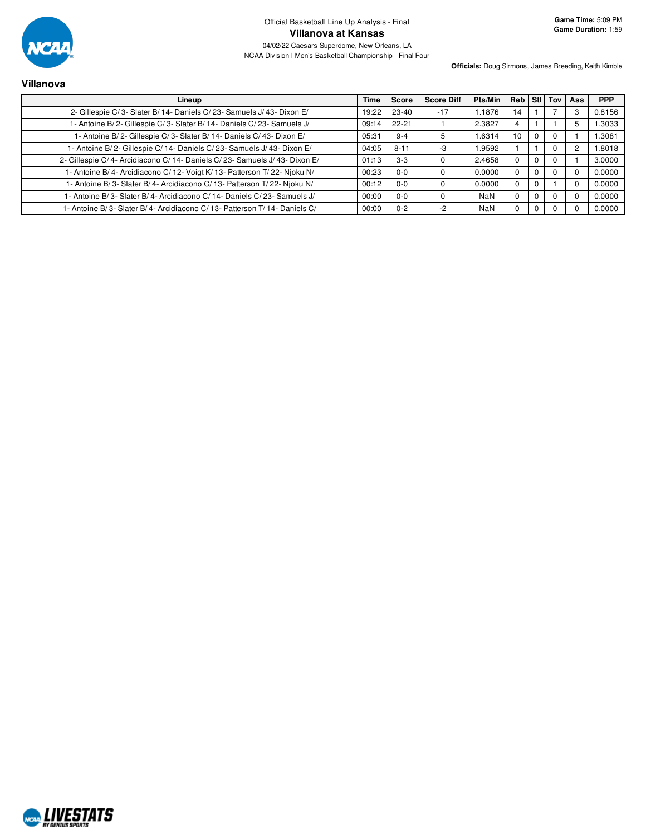

NCAA Division I Men's Basketball Championship - Final Four

**Officials:** Doug Sirmons, James Breeding, Keith Kimble

# **Villanova Lineup Time Score Score Diff Pts/Min Reb Stl Tov Ass PPP** 2- Gillespie C/ 3- Slater B/ 14- Daniels C/ 23- Samuels J/ 43- Dixon E/ 19:22 23-40 -17 1.1876 14 1 7 3 0.8156

| $2 -$ Gillespie G/ 3- Stater B/ 14- Daniers G/ 23- Samuers J/ 43- Dixon E/ | 19.ZZ 1 | 23-40     | $-11$ | <b>1.1070</b> | 14 |   | <b>U.O.IO</b> |
|----------------------------------------------------------------------------|---------|-----------|-------|---------------|----|---|---------------|
| 1- Antoine B/2- Gillespie C/3- Slater B/14- Daniels C/23- Samuels J/       | 09:14   | $22 - 21$ |       | 2.3827        | 4  |   | 1.3033        |
| 1- Antoine B/2- Gillespie C/3- Slater B/14- Daniels C/43- Dixon E/         | 05:31   | $9 - 4$   |       | 1.6314        | 10 |   | 1.3081        |
| - Antoine B/ 2- Gillespie C/ 14- Daniels C/ 23- Samuels J/ 43- Dixon E/    | 04:05   | $8 - 11$  | -3    | l.9592        |    | 0 | 1.8018        |
| 2- Gillespie C/4- Arcidiacono C/14- Daniels C/23- Samuels J/43- Dixon E/   | 01:13   | $3-3$     |       | 2.4658        |    |   | 3.0000        |
| 1- Antoine B/4- Arcidiacono C/12- Voigt K/13- Patterson T/22- Njoku N/     | 00:23   | $0 - 0$   |       | 0.0000        |    |   | 0.0000        |
| 1- Antoine B/3- Slater B/4- Arcidiacono C/13- Patterson T/22- Njoku N/     | 00:12   | $0 - 0$   |       | 0.0000        |    |   | 0.0000        |
| 1- Antoine B/3- Slater B/4- Arcidiacono C/14- Daniels C/23- Samuels J/     | 00:00   | $0 - 0$   |       | <b>NaN</b>    |    | 0 | 0.0000        |
| 1- Antoine B/3- Slater B/4- Arcidiacono C/13- Patterson T/14- Daniels C/   | 00:00   | $0 - 2$   | $-2$  | <b>NaN</b>    |    |   | 0.0000        |
|                                                                            |         |           |       |               |    |   |               |